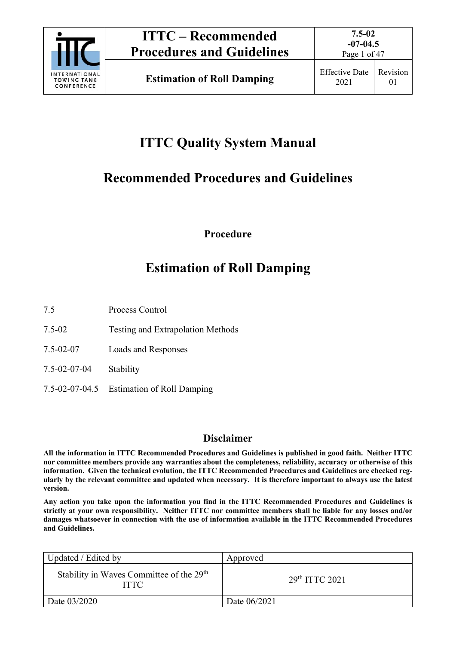

Page 1 of 47

## **ITTC Quality System Manual**

## **Recommended Procedures and Guidelines**

**Procedure** 

## **Estimation of Roll Damping**

7.5 Process Control

- 7.5-02 Testing and Extrapolation Methods
- 7.5-02-07 Loads and Responses
- 7.5-02-07-04 Stability
- 7.5-02-07-04.5 Estimation of Roll Damping

## **Disclaimer**

**All the information in ITTC Recommended Procedures and Guidelines is published in good faith. Neither ITTC nor committee members provide any warranties about the completeness, reliability, accuracy or otherwise of this information. Given the technical evolution, the ITTC Recommended Procedures and Guidelines are checked regularly by the relevant committee and updated when necessary. It is therefore important to always use the latest version.** 

**Any action you take upon the information you find in the ITTC Recommended Procedures and Guidelines is strictly at your own responsibility. Neither ITTC nor committee members shall be liable for any losses and/or damages whatsoever in connection with the use of information available in the ITTC Recommended Procedures and Guidelines.** 

| Updated / Edited by                                                 | Approved         |
|---------------------------------------------------------------------|------------------|
| Stability in Waves Committee of the 29 <sup>th</sup><br><b>ITTC</b> | $29th$ ITTC 2021 |
| Date 03/2020                                                        | Date 06/2021     |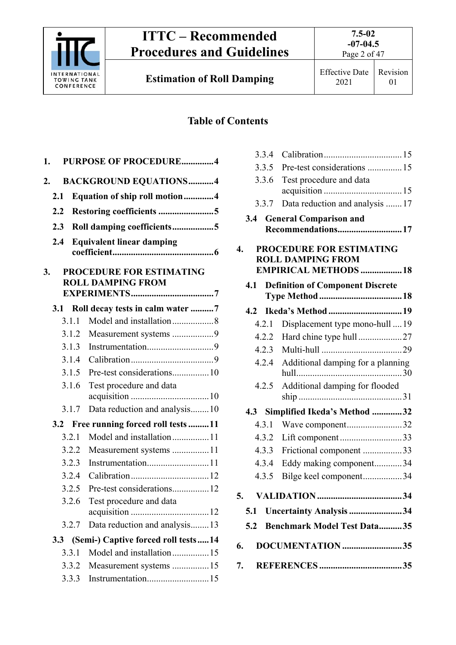

**Estimation of Roll Damping** Effective Date

## **Table of Contents**

| 1. |                  |       | PURPOSE OF PROCEDURE4                                |
|----|------------------|-------|------------------------------------------------------|
| 2. |                  |       | <b>BACKGROUND EQUATIONS4</b>                         |
|    | 2.1              |       | Equation of ship roll motion4                        |
|    | 2.2              |       | Restoring coefficients 5                             |
|    | 2.3              |       | Roll damping coefficients5                           |
|    |                  |       |                                                      |
|    | 2.4              |       | <b>Equivalent linear damping</b>                     |
| 3. |                  |       | PROCEDURE FOR ESTIMATING<br><b>ROLL DAMPING FROM</b> |
|    | 3.1              |       | Roll decay tests in calm water 7                     |
|    |                  | 3.1.1 | Model and installation8                              |
|    |                  | 3.1.2 | Measurement systems 9                                |
|    |                  | 3.1.3 |                                                      |
|    |                  | 3.1.4 |                                                      |
|    |                  | 3.1.5 | Pre-test considerations10                            |
|    |                  | 3.1.6 | Test procedure and data                              |
|    |                  | 3.1.7 | Data reduction and analysis10                        |
|    |                  |       | 3.2 Free running forced roll tests 11                |
|    |                  | 3.2.1 | Model and installation11                             |
|    |                  | 3.2.2 | Measurement systems 11                               |
|    |                  | 3.2.3 |                                                      |
|    |                  | 3.2.4 |                                                      |
|    |                  | 3.2.5 | Pre-test considerations12                            |
|    |                  | 3.2.6 | Test procedure and data                              |
|    |                  | 3.2.7 | Data reduction and analysis13                        |
|    | 3.3 <sub>2</sub> |       | (Semi-) Captive forced roll tests14                  |
|    |                  | 3.3.1 | Model and installation15                             |
|    |                  | 3.3.2 | Measurement systems 15                               |
|    |                  | 3.3.3 |                                                      |

| 3.3.4 |                                                          |  |
|-------|----------------------------------------------------------|--|
| 3.3.5 | Pre-test considerations  15                              |  |
| 3.3.6 | Test procedure and data                                  |  |
| 3.3.7 | Data reduction and analysis  17                          |  |
| 3.4   | <b>General Comparison and</b><br>Recommendations17       |  |
| 4.    | PROCEDURE FOR ESTIMATING                                 |  |
|       | <b>ROLL DAMPING FROM</b><br><b>EMPIRICAL METHODS  18</b> |  |
| 4.1   | <b>Definition of Component Discrete</b>                  |  |
|       |                                                          |  |
| 4.2.1 | Displacement type mono-hull  19                          |  |
| 4.2.2 | Hard chine type hull27                                   |  |
| 4.2.3 |                                                          |  |
| 4.2.4 | Additional damping for a planning                        |  |
| 4.2.5 | Additional damping for flooded                           |  |
|       | 4.3 Simplified Ikeda's Method 32                         |  |
| 4.3.1 | Wave component32                                         |  |
| 4.3.2 | Lift component 33                                        |  |
| 4.3.3 | Frictional component 33                                  |  |
| 4.3.4 | Eddy making component34                                  |  |
| 4.3.5 | Bilge keel component34                                   |  |
| 5.    |                                                          |  |
|       | 5.1 Uncertainty Analysis 34                              |  |
|       | 5.2 Benchmark Model Test Data35                          |  |
| 6.    | DOCUMENTATION35                                          |  |
| 7.    |                                                          |  |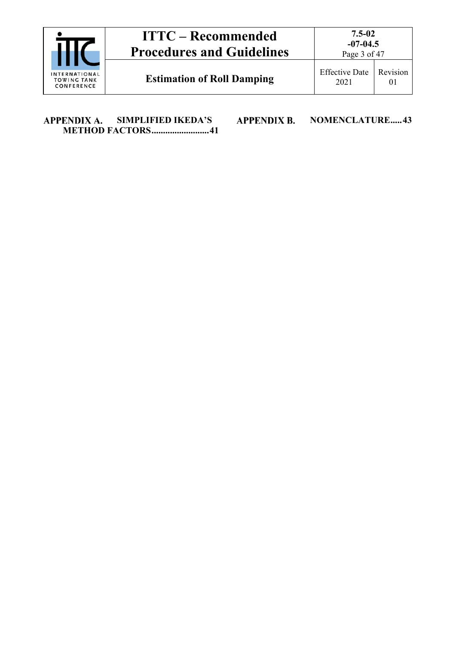|  | <b>INTERNATIONAL</b> |
|--|----------------------|
|  | <b>TOWING TANK</b>   |
|  | CONFERENCE           |

**Estimation of Roll Damping** Effective Date

Page 3 of 47

2021 Revision 01

APPENDIX A. **SIMPLIFIED IKEDA'S METHOD FACTORS ......................... 41** **APPENDIX B.** 

**NOMENCLATURE ..... 43**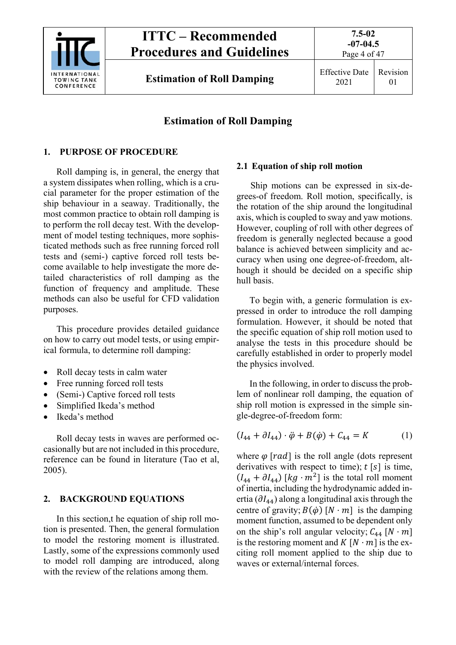

**7.5-02** 

## **Estimation of Roll Damping**

## **1. PURPOSE OF PROCEDURE**

Roll damping is, in general, the energy that a system dissipates when rolling, which is a crucial parameter for the proper estimation of the ship behaviour in a seaway. Traditionally, the most common practice to obtain roll damping is to perform the roll decay test. With the development of model testing techniques, more sophisticated methods such as free running forced roll tests and (semi-) captive forced roll tests become available to help investigate the more detailed characteristics of roll damping as the function of frequency and amplitude. These methods can also be useful for CFD validation purposes.

This procedure provides detailed guidance on how to carry out model tests, or using empirical formula, to determine roll damping:

- Roll decay tests in calm water
- Free running forced roll tests
- (Semi-) Captive forced roll tests
- Simplified Ikeda's method
- Ikeda's method

Roll decay tests in waves are performed occasionally but are not included in this procedure, reference can be found in literature (Tao et al, 2005).

## **2. BACKGROUND EQUATIONS**

In this section,t he equation of ship roll motion is presented. Then, the general formulation to model the restoring moment is illustrated. Lastly, some of the expressions commonly used to model roll damping are introduced, along with the review of the relations among them.

## **2.1 Equation of ship roll motion**

Ship motions can be expressed in six-degrees-of freedom. Roll motion, specifically, is the rotation of the ship around the longitudinal axis, which is coupled to sway and yaw motions. However, coupling of roll with other degrees of freedom is generally neglected because a good balance is achieved between simplicity and accuracy when using one degree-of-freedom, although it should be decided on a specific ship hull basis.

To begin with, a generic formulation is expressed in order to introduce the roll damping formulation. However, it should be noted that the specific equation of ship roll motion used to analyse the tests in this procedure should be carefully established in order to properly model the physics involved.

In the following, in order to discuss the problem of nonlinear roll damping, the equation of ship roll motion is expressed in the simple single-degree-of-freedom form:

$$
(I_{44} + \partial I_{44}) \cdot \ddot{\varphi} + B(\dot{\varphi}) + C_{44} = K \tag{1}
$$

where  $\varphi$  [rad] is the roll angle (dots represent derivatives with respect to time);  $t \lfloor s \rfloor$  is time,  $(I_{44} + \partial I_{44})$  [kg  $\cdot$  m<sup>2</sup>] is the total roll moment of inertia, including the hydrodynamic added inertia ( $\partial I_{44}$ ) along a longitudinal axis through the centre of gravity;  $B(\phi)$  [N · m] is the damping moment function, assumed to be dependent only on the ship's roll angular velocity;  $C_{44}$  [N · m] is the restoring moment and  $K [N \cdot m]$  is the exciting roll moment applied to the ship due to waves or external/internal forces.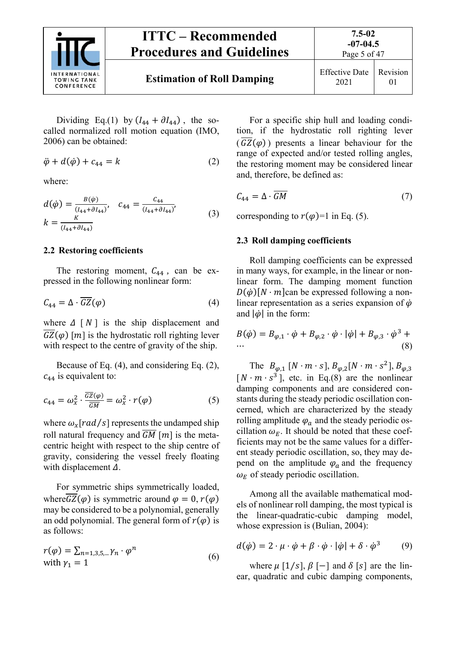

## **ITTC – Recommended Procedures and Guidelines Estimation of Roll Damping** Effective Date 2021

01

**7.5-02** 

Dividing Eq.(1) by  $(I_{44} + \partial I_{44})$ , the socalled normalized roll motion equation (IMO, 2006) can be obtained:

$$
\ddot{\varphi} + d(\dot{\varphi}) + c_{44} = k \tag{2}
$$

where:

$$
d(\dot{\varphi}) = \frac{B(\dot{\varphi})}{(I_{44} + \partial I_{44})}, \quad c_{44} = \frac{c_{44}}{(I_{44} + \partial I_{44})},
$$
  
\n
$$
k = \frac{K}{(I_{44} + \partial I_{44})}
$$
\n(3)

#### **2.2 Restoring coefficients**

The restoring moment,  $C_{44}$ , can be expressed in the following nonlinear form:

$$
C_{44} = \Delta \cdot \overline{GZ}(\varphi) \tag{4}
$$

where  $\Delta \left[ N \right]$  is the ship displacement and  $\overline{GZ}(\varphi)$  [*m*] is the hydrostatic roll righting lever with respect to the centre of gravity of the ship.

Because of Eq. (4), and considering Eq. (2),  $c_{44}$  is equivalent to:

$$
c_{44} = \omega_x^2 \cdot \frac{\overline{GZ}(\varphi)}{\overline{GM}} = \omega_x^2 \cdot r(\varphi) \tag{5}
$$

where  $\omega_x [rad/s]$  represents the undamped ship roll natural frequency and  $\overline{GM}$  [m] is the metacentric height with respect to the ship centre of gravity, considering the vessel freely floating with displacement  $\Delta$ .

For symmetric ships symmetrically loaded, where  $\overline{GZ}(\varphi)$  is symmetric around  $\varphi = 0$ ,  $r(\varphi)$ may be considered to be a polynomial, generally an odd polynomial. The general form of  $r(\varphi)$  is as follows:

$$
r(\varphi) = \sum_{n=1,3,5,\dots} \gamma_n \cdot \varphi^n
$$
  
with  $\gamma_1 = 1$  (6)

For a specific ship hull and loading condition, if the hydrostatic roll righting lever  $(\overline{GZ}(\varphi))$  presents a linear behaviour for the range of expected and/or tested rolling angles, the restoring moment may be considered linear and, therefore, be defined as:

$$
C_{44} = \Delta \cdot \overline{GM} \tag{7}
$$

corresponding to  $r(\varphi)=1$  in Eq. (5).

#### **2.3 Roll damping coefficients**

Roll damping coefficients can be expressed in many ways, for example, in the linear or nonlinear form. The damping moment function  $D(\phi)[N \cdot m]$ can be expressed following a nonlinear representation as a series expansion of  $\dot{\varphi}$ and  $|\dot{\varphi}|$  in the form:

$$
B(\dot{\varphi}) = B_{\varphi,1} \cdot \dot{\varphi} + B_{\varphi,2} \cdot \dot{\varphi} \cdot |\dot{\varphi}| + B_{\varphi,3} \cdot \dot{\varphi}^3 + \dots
$$
\n(8)

The  $B_{\omega,1}$  [N · m · s],  $B_{\omega,2}$ [N · m · s<sup>2</sup>],  $B_{\omega,3}$  $[N \cdot m \cdot s^3]$ , etc. in Eq.(8) are the nonlinear damping components and are considered constants during the steady periodic oscillation concerned, which are characterized by the steady rolling amplitude  $\varphi_a$  and the steady periodic oscillation  $\omega_F$ . It should be noted that these coefficients may not be the same values for a different steady periodic oscillation, so, they may depend on the amplitude  $\varphi_a$  and the frequency  $\omega_F$  of steady periodic oscillation.

Among all the available mathematical models of nonlinear roll damping, the most typical is the linear-quadratic-cubic damping model, whose expression is (Bulian, 2004):

$$
d(\dot{\varphi}) = 2 \cdot \mu \cdot \dot{\varphi} + \beta \cdot \dot{\varphi} \cdot |\dot{\varphi}| + \delta \cdot \dot{\varphi}^{3} \tag{9}
$$

where  $\mu$  [1/s],  $\beta$  [-] and  $\delta$  [s] are the linear, quadratic and cubic damping components,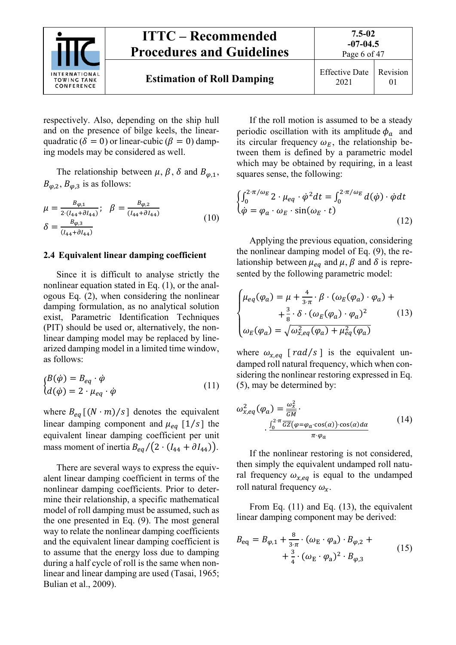

respectively. Also, depending on the ship hull and on the presence of bilge keels, the linearquadratic ( $\delta = 0$ ) or linear-cubic ( $\beta = 0$ ) damping models may be considered as well.

The relationship between  $\mu$ ,  $\beta$ ,  $\delta$  and  $B_{\varphi,1}$ ,  $B_{\varphi,2}, B_{\varphi,3}$  is as follows:

$$
\mu = \frac{B_{\varphi,1}}{2 \cdot (I_{44} + \partial I_{44})}; \quad \beta = \frac{B_{\varphi,2}}{(I_{44} + \partial I_{44})}
$$
\n
$$
\delta = \frac{B_{\varphi,3}}{(I_{44} + \partial I_{44})}
$$
\n(10)

#### **2.4 Equivalent linear damping coefficient**

Since it is difficult to analyse strictly the nonlinear equation stated in Eq. (1), or the analogous Eq. (2), when considering the nonlinear damping formulation, as no analytical solution exist, Parametric Identification Techniques (PIT) should be used or, alternatively, the nonlinear damping model may be replaced by linearized damping model in a limited time window, as follows:

$$
\begin{cases}\nB(\dot{\varphi}) = B_{eq} \cdot \dot{\varphi} \\
d(\dot{\varphi}) = 2 \cdot \mu_{eq} \cdot \dot{\varphi}\n\end{cases}
$$
\n(11)

where  $B_{eq}$ [(N · m)/s] denotes the equivalent linear damping component and  $\mu_{eq}$  [1/s] the equivalent linear damping coefficient per unit mass moment of inertia  $B_{eq}/(2 \cdot (I_{44} + \partial I_{44}))$ .

There are several ways to express the equivalent linear damping coefficient in terms of the nonlinear damping coefficients. Prior to determine their relationship, a specific mathematical model of roll damping must be assumed, such as the one presented in Eq. (9). The most general way to relate the nonlinear damping coefficients and the equivalent linear damping coefficient is to assume that the energy loss due to damping during a half cycle of roll is the same when nonlinear and linear damping are used (Tasai, 1965; Bulian et al., 2009).

If the roll motion is assumed to be a steady periodic oscillation with its amplitude  $\phi_a$  and its circular frequency  $\omega_E$ , the relationship between them is defined by a parametric model which may be obtained by requiring, in a least squares sense, the following:

$$
\begin{cases}\n\int_0^{2\cdot\pi/\omega_E} 2 \cdot \mu_{eq} \cdot \dot{\varphi}^2 dt = \int_0^{2\cdot\pi/\omega_E} d(\dot{\varphi}) \cdot \dot{\varphi} dt \\
\dot{\varphi} = \varphi_a \cdot \omega_E \cdot \sin(\omega_E \cdot t)\n\end{cases}
$$
\n(12)

Applying the previous equation, considering the nonlinear damping model of Eq. (9), the relationship between  $\mu_{eq}$  and  $\mu$ ,  $\beta$  and  $\delta$  is represented by the following parametric model:

$$
\begin{cases}\n\mu_{eq}(\varphi_a) = \mu + \frac{4}{3\cdot\pi} \cdot \beta \cdot (\omega_E(\varphi_a) \cdot \varphi_a) + \\
\quad + \frac{3}{8} \cdot \delta \cdot (\omega_E(\varphi_a) \cdot \varphi_a)^2 \\
\omega_E(\varphi_a) = \sqrt{\omega_{x,eq}^2(\varphi_a) + \mu_{eq}^2(\varphi_a)}\n\end{cases} (13)
$$

where  $\omega_{x,eq}$  [  $rad/s$  ] is the equivalent undamped roll natural frequency, which when considering the nonlinear restoring expressed in Eq. (5), may be determined by:

$$
\omega_{x,eq}^2(\varphi_a) = \frac{\omega_x^2}{\frac{GM}{GM}}.
$$
  
. 
$$
\frac{\int_0^{2\cdot\pi} \overline{GZ}(\varphi = \varphi_a \cdot \cos(\alpha)) \cdot \cos(\alpha) d\alpha}{\pi \cdot \varphi_a}
$$
 (14)

If the nonlinear restoring is not considered, then simply the equivalent undamped roll natural frequency  $\omega_{x,eq}$  is equal to the undamped roll natural frequency  $\omega_x$ .

From Eq. (11) and Eq. (13), the equivalent linear damping component may be derived:

$$
B_{\text{eq}} = B_{\varphi,1} + \frac{8}{3\cdot \pi} \cdot (\omega_{\text{E}} \cdot \varphi_{\text{a}}) \cdot B_{\varphi,2} + + \frac{3}{4} \cdot (\omega_{\text{E}} \cdot \varphi_{\text{a}})^2 \cdot B_{\varphi,3}
$$
 (15)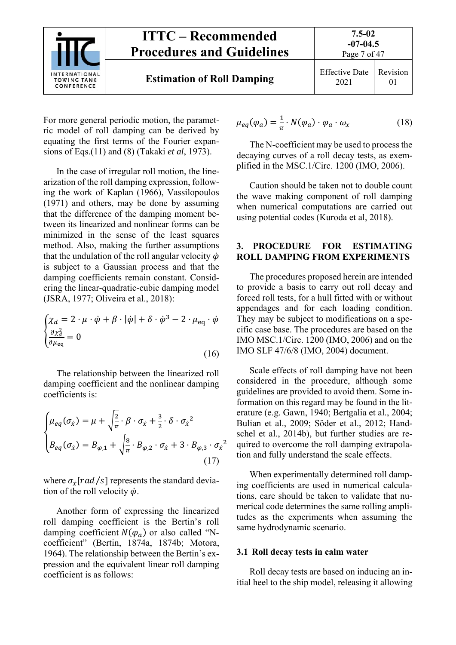

For more general periodic motion, the parametric model of roll damping can be derived by equating the first terms of the Fourier expansions of Eqs.(11) and (8) (Takaki *et al*, 1973).

In the case of irregular roll motion, the linearization of the roll damping expression, following the work of Kaplan (1966), Vassilopoulos (1971) and others, may be done by assuming that the difference of the damping moment between its linearized and nonlinear forms can be minimized in the sense of the least squares method. Also, making the further assumptions that the undulation of the roll angular velocity  $\dot{\varphi}$ is subject to a Gaussian process and that the damping coefficients remain constant. Considering the linear-quadratic-cubic damping model (JSRA, 1977; Oliveira et al., 2018):

$$
\begin{cases} \chi_d = 2 \cdot \mu \cdot \dot{\varphi} + \beta \cdot |\dot{\varphi}| + \delta \cdot \dot{\varphi}^3 - 2 \cdot \mu_{\text{eq}} \cdot \dot{\varphi} \\ \frac{\partial \chi_d^2}{\partial \mu_{\text{eq}}} = 0 \end{cases}
$$
 (16)

The relationship between the linearized roll damping coefficient and the nonlinear damping coefficients is:

$$
\begin{cases}\n\mu_{eq}(\sigma_{\hat{x}}) = \mu + \sqrt{\frac{2}{\pi}} \cdot \beta \cdot \sigma_{\hat{x}} + \frac{3}{2} \cdot \delta \cdot \sigma_{\hat{x}}^2 \\
B_{eq}(\sigma_{\hat{x}}) = B_{\varphi,1} + \sqrt{\frac{8}{\pi}} \cdot B_{\varphi,2} \cdot \sigma_{\hat{x}} + 3 \cdot B_{\varphi,3} \cdot \sigma_{\hat{x}}^2\n\end{cases}
$$
\n(17)

where  $\sigma_{\dot{x}}[rad/s]$  represents the standard deviation of the roll velocity  $\dot{\varphi}$ .

Another form of expressing the linearized roll damping coefficient is the Bertin's roll damping coefficient  $N(\varphi_a)$  or also called "Ncoefficient" (Bertin, 1874a, 1874b; Motora, 1964). The relationship between the Bertin's expression and the equivalent linear roll damping coefficient is as follows:

$$
\mu_{eq}(\varphi_a) = \frac{1}{\pi} \cdot N(\varphi_a) \cdot \varphi_a \cdot \omega_x \tag{18}
$$

The N-coefficient may be used to process the decaying curves of a roll decay tests, as exemplified in the MSC.1/Circ. 1200 (IMO, 2006).

Caution should be taken not to double count the wave making component of roll damping when numerical computations are carried out using potential codes (Kuroda et al, 2018).

#### **3. PROCEDURE FOR ESTIMATING ROLL DAMPING FROM EXPERIMENTS**

The procedures proposed herein are intended to provide a basis to carry out roll decay and forced roll tests, for a hull fitted with or without appendages and for each loading condition. They may be subject to modifications on a specific case base. The procedures are based on the IMO MSC.1/Circ. 1200 (IMO, 2006) and on the IMO SLF 47/6/8 (IMO, 2004) document.

Scale effects of roll damping have not been considered in the procedure, although some guidelines are provided to avoid them. Some information on this regard may be found in the literature (e.g. Gawn, 1940; Bertgalia et al., 2004; Bulian et al., 2009; Söder et al., 2012; Handschel et al., 2014b), but further studies are required to overcome the roll damping extrapolation and fully understand the scale effects.

When experimentally determined roll damping coefficients are used in numerical calculations, care should be taken to validate that numerical code determines the same rolling amplitudes as the experiments when assuming the same hydrodynamic scenario.

#### **3.1 Roll decay tests in calm water**

Roll decay tests are based on inducing an initial heel to the ship model, releasing it allowing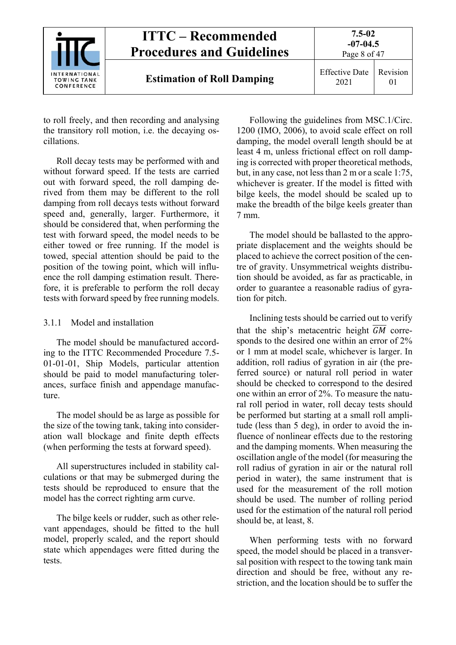

to roll freely, and then recording and analysing the transitory roll motion, i.e. the decaying oscillations.

Roll decay tests may be performed with and without forward speed. If the tests are carried out with forward speed, the roll damping derived from them may be different to the roll damping from roll decays tests without forward speed and, generally, larger. Furthermore, it should be considered that, when performing the test with forward speed, the model needs to be either towed or free running. If the model is towed, special attention should be paid to the position of the towing point, which will influence the roll damping estimation result. Therefore, it is preferable to perform the roll decay tests with forward speed by free running models.

#### 3.1.1 Model and installation

The model should be manufactured according to the ITTC Recommended Procedure 7.5- 01-01-01, Ship Models, particular attention should be paid to model manufacturing tolerances, surface finish and appendage manufacture.

The model should be as large as possible for the size of the towing tank, taking into consideration wall blockage and finite depth effects (when performing the tests at forward speed).

All superstructures included in stability calculations or that may be submerged during the tests should be reproduced to ensure that the model has the correct righting arm curve.

The bilge keels or rudder, such as other relevant appendages, should be fitted to the hull model, properly scaled, and the report should state which appendages were fitted during the tests.

Following the guidelines from MSC.1/Circ. 1200 (IMO, 2006), to avoid scale effect on roll damping, the model overall length should be at least 4 m, unless frictional effect on roll damping is corrected with proper theoretical methods, but, in any case, not less than 2 m or a scale 1:75, whichever is greater. If the model is fitted with bilge keels, the model should be scaled up to make the breadth of the bilge keels greater than 7 mm.

The model should be ballasted to the appropriate displacement and the weights should be placed to achieve the correct position of the centre of gravity. Unsymmetrical weights distribution should be avoided, as far as practicable, in order to guarantee a reasonable radius of gyration for pitch.

Inclining tests should be carried out to verify that the ship's metacentric height  $\overline{GM}$  corresponds to the desired one within an error of 2% or 1 mm at model scale, whichever is larger. In addition, roll radius of gyration in air (the preferred source) or natural roll period in water should be checked to correspond to the desired one within an error of 2%. To measure the natural roll period in water, roll decay tests should be performed but starting at a small roll amplitude (less than 5 deg), in order to avoid the influence of nonlinear effects due to the restoring and the damping moments. When measuring the oscillation angle of the model (for measuring the roll radius of gyration in air or the natural roll period in water), the same instrument that is used for the measurement of the roll motion should be used. The number of rolling period used for the estimation of the natural roll period should be, at least, 8.

When performing tests with no forward speed, the model should be placed in a transversal position with respect to the towing tank main direction and should be free, without any restriction, and the location should be to suffer the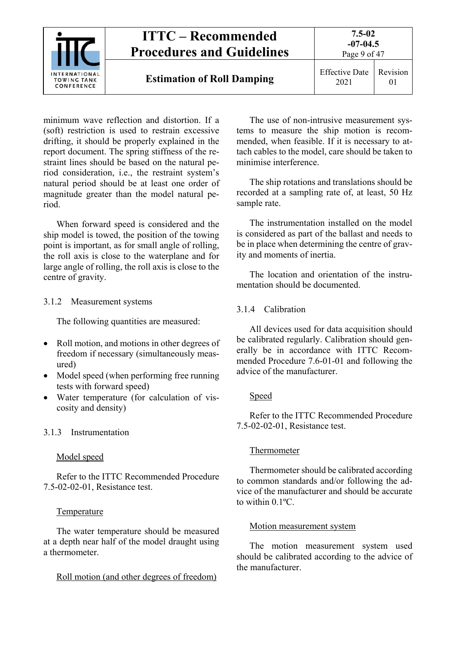

minimum wave reflection and distortion. If a (soft) restriction is used to restrain excessive drifting, it should be properly explained in the report document. The spring stiffness of the restraint lines should be based on the natural period consideration, i.e., the restraint system's natural period should be at least one order of magnitude greater than the model natural period.

When forward speed is considered and the ship model is towed, the position of the towing point is important, as for small angle of rolling, the roll axis is close to the waterplane and for large angle of rolling, the roll axis is close to the centre of gravity.

#### 3.1.2 Measurement systems

The following quantities are measured:

- Roll motion, and motions in other degrees of freedom if necessary (simultaneously measured)
- Model speed (when performing free running tests with forward speed)
- Water temperature (for calculation of viscosity and density)

#### 3.1.3 Instrumentation

#### Model speed

Refer to the ITTC Recommended Procedure 7.5-02-02-01, Resistance test.

#### Temperature

The water temperature should be measured at a depth near half of the model draught using a thermometer.

#### Roll motion (and other degrees of freedom)

The use of non-intrusive measurement systems to measure the ship motion is recommended, when feasible. If it is necessary to attach cables to the model, care should be taken to minimise interference.

The ship rotations and translations should be recorded at a sampling rate of, at least, 50 Hz sample rate.

The instrumentation installed on the model is considered as part of the ballast and needs to be in place when determining the centre of gravity and moments of inertia.

The location and orientation of the instrumentation should be documented.

#### 3.1.4 Calibration

All devices used for data acquisition should be calibrated regularly. Calibration should generally be in accordance with ITTC Recommended Procedure 7.6-01-01 and following the advice of the manufacturer.

#### Speed

Refer to the ITTC Recommended Procedure 7.5-02-02-01, Resistance test.

#### Thermometer

Thermometer should be calibrated according to common standards and/or following the advice of the manufacturer and should be accurate to within 0.1ºC.

#### Motion measurement system

The motion measurement system used should be calibrated according to the advice of the manufacturer.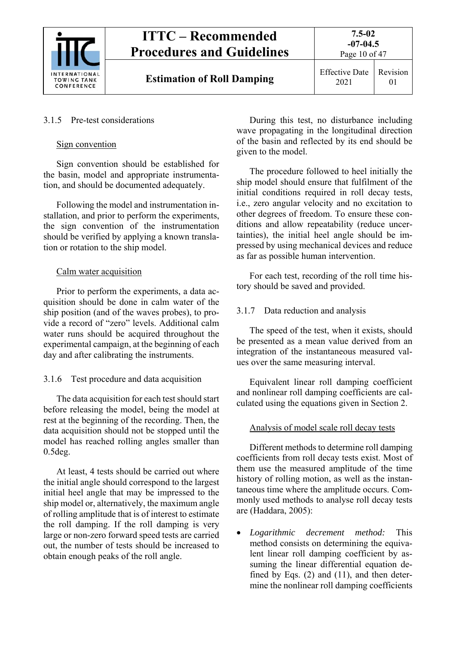

#### 3.1.5 Pre-test considerations

#### Sign convention

Sign convention should be established for the basin, model and appropriate instrumentation, and should be documented adequately.

Following the model and instrumentation installation, and prior to perform the experiments, the sign convention of the instrumentation should be verified by applying a known translation or rotation to the ship model.

#### Calm water acquisition

Prior to perform the experiments, a data acquisition should be done in calm water of the ship position (and of the waves probes), to provide a record of "zero" levels. Additional calm water runs should be acquired throughout the experimental campaign, at the beginning of each day and after calibrating the instruments.

#### 3.1.6 Test procedure and data acquisition

The data acquisition for each test should start before releasing the model, being the model at rest at the beginning of the recording. Then, the data acquisition should not be stopped until the model has reached rolling angles smaller than 0.5deg.

At least, 4 tests should be carried out where the initial angle should correspond to the largest initial heel angle that may be impressed to the ship model or, alternatively, the maximum angle of rolling amplitude that is of interest to estimate the roll damping. If the roll damping is very large or non-zero forward speed tests are carried out, the number of tests should be increased to obtain enough peaks of the roll angle.

During this test, no disturbance including wave propagating in the longitudinal direction of the basin and reflected by its end should be given to the model.

The procedure followed to heel initially the ship model should ensure that fulfilment of the initial conditions required in roll decay tests, i.e., zero angular velocity and no excitation to other degrees of freedom. To ensure these conditions and allow repeatability (reduce uncertainties), the initial heel angle should be impressed by using mechanical devices and reduce as far as possible human intervention.

For each test, recording of the roll time history should be saved and provided.

## 3.1.7 Data reduction and analysis

The speed of the test, when it exists, should be presented as a mean value derived from an integration of the instantaneous measured values over the same measuring interval.

Equivalent linear roll damping coefficient and nonlinear roll damping coefficients are calculated using the equations given in Section 2.

## Analysis of model scale roll decay tests

Different methods to determine roll damping coefficients from roll decay tests exist. Most of them use the measured amplitude of the time history of rolling motion, as well as the instantaneous time where the amplitude occurs. Commonly used methods to analyse roll decay tests are (Haddara, 2005):

 *Logarithmic decrement method:* This method consists on determining the equivalent linear roll damping coefficient by assuming the linear differential equation defined by Eqs. (2) and (11), and then determine the nonlinear roll damping coefficients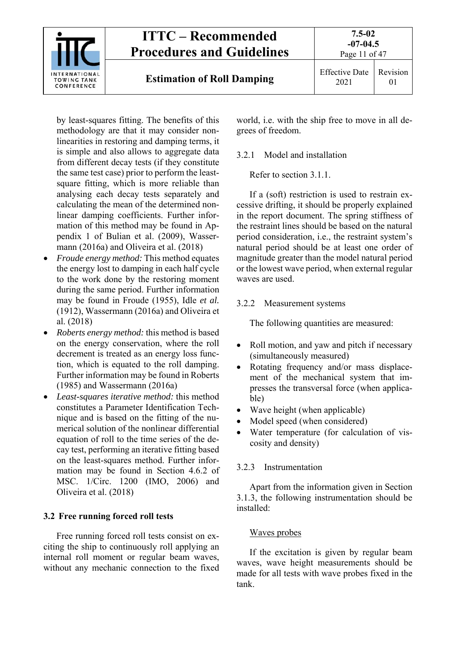

by least-squares fitting. The benefits of this methodology are that it may consider nonlinearities in restoring and damping terms, it is simple and also allows to aggregate data from different decay tests (if they constitute the same test case) prior to perform the leastsquare fitting, which is more reliable than analysing each decay tests separately and calculating the mean of the determined nonlinear damping coefficients. Further information of this method may be found in Appendix 1 of Bulian et al. (2009), Wassermann (2016a) and Oliveira et al. (2018)

- *Froude energy method:* This method equates the energy lost to damping in each half cycle to the work done by the restoring moment during the same period. Further information may be found in Froude (1955), Idle *et al.*  (1912), Wassermann (2016a) and Oliveira et al. (2018)
- *Roberts energy method:* this method is based on the energy conservation, where the roll decrement is treated as an energy loss function, which is equated to the roll damping. Further information may be found in Roberts (1985) and Wassermann (2016a)
- *Least-squares iterative method:* this method constitutes a Parameter Identification Technique and is based on the fitting of the numerical solution of the nonlinear differential equation of roll to the time series of the decay test, performing an iterative fitting based on the least-squares method. Further information may be found in Section 4.6.2 of MSC. 1/Circ. 1200 (IMO, 2006) and Oliveira et al. (2018)

#### **3.2 Free running forced roll tests**

Free running forced roll tests consist on exciting the ship to continuously roll applying an internal roll moment or regular beam waves, without any mechanic connection to the fixed world, i.e. with the ship free to move in all degrees of freedom.

### 3.2.1 Model and installation

Refer to section 3.1.1.

If a (soft) restriction is used to restrain excessive drifting, it should be properly explained in the report document. The spring stiffness of the restraint lines should be based on the natural period consideration, i.e., the restraint system's natural period should be at least one order of magnitude greater than the model natural period or the lowest wave period, when external regular waves are used.

## 3.2.2 Measurement systems

The following quantities are measured:

- Roll motion, and yaw and pitch if necessary (simultaneously measured)
- Rotating frequency and/or mass displacement of the mechanical system that impresses the transversal force (when applicable)
- Wave height (when applicable)
- Model speed (when considered)
- Water temperature (for calculation of viscosity and density)

## 3.2.3 Instrumentation

Apart from the information given in Section 3.1.3, the following instrumentation should be installed:

## Waves probes

If the excitation is given by regular beam waves, wave height measurements should be made for all tests with wave probes fixed in the tank.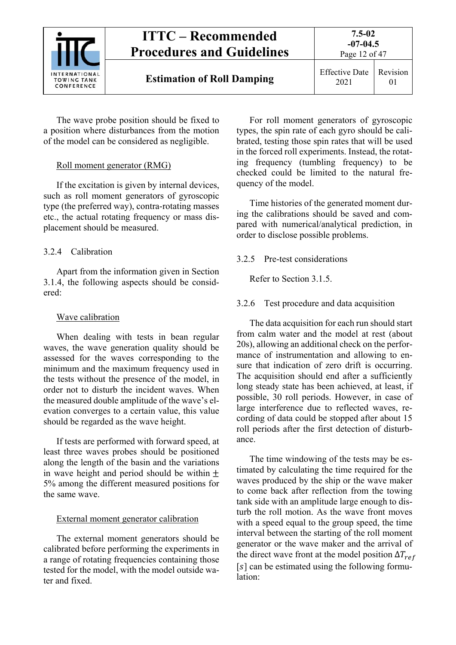

Page 12 of 47

The wave probe position should be fixed to a position where disturbances from the motion of the model can be considered as negligible.

## Roll moment generator (RMG)

If the excitation is given by internal devices, such as roll moment generators of gyroscopic type (the preferred way), contra-rotating masses etc., the actual rotating frequency or mass displacement should be measured.

## 3.2.4 Calibration

Apart from the information given in Section 3.1.4, the following aspects should be considered:

## Wave calibration

When dealing with tests in bean regular waves, the wave generation quality should be assessed for the waves corresponding to the minimum and the maximum frequency used in the tests without the presence of the model, in order not to disturb the incident waves. When the measured double amplitude of the wave's elevation converges to a certain value, this value should be regarded as the wave height.

If tests are performed with forward speed, at least three waves probes should be positioned along the length of the basin and the variations in wave height and period should be within  $\pm$ 5% among the different measured positions for the same wave.

## External moment generator calibration

The external moment generators should be calibrated before performing the experiments in a range of rotating frequencies containing those tested for the model, with the model outside water and fixed.

For roll moment generators of gyroscopic types, the spin rate of each gyro should be calibrated, testing those spin rates that will be used in the forced roll experiments. Instead, the rotating frequency (tumbling frequency) to be checked could be limited to the natural frequency of the model.

Time histories of the generated moment during the calibrations should be saved and compared with numerical/analytical prediction, in order to disclose possible problems.

## 3.2.5 Pre-test considerations

Refer to Section 3.1.5.

## 3.2.6 Test procedure and data acquisition

The data acquisition for each run should start from calm water and the model at rest (about 20s), allowing an additional check on the performance of instrumentation and allowing to ensure that indication of zero drift is occurring. The acquisition should end after a sufficiently long steady state has been achieved, at least, if possible, 30 roll periods. However, in case of large interference due to reflected waves, recording of data could be stopped after about 15 roll periods after the first detection of disturbance.

The time windowing of the tests may be estimated by calculating the time required for the waves produced by the ship or the wave maker to come back after reflection from the towing tank side with an amplitude large enough to disturb the roll motion. As the wave front moves with a speed equal to the group speed, the time interval between the starting of the roll moment generator or the wave maker and the arrival of the direct wave front at the model position  $\Delta T_{ref}$  $[s]$  can be estimated using the following formulation: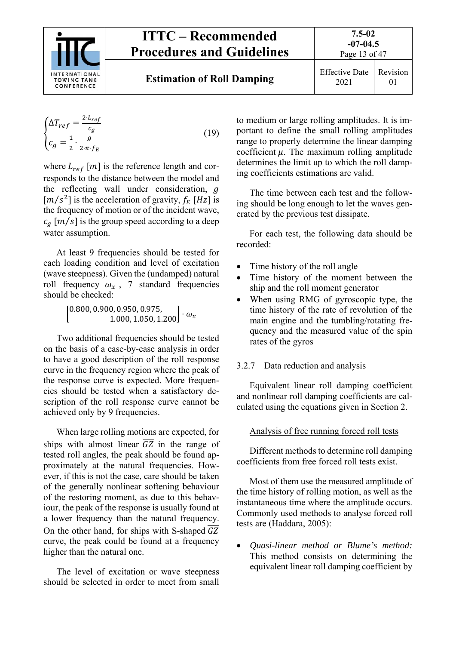

Page 13 of 47

01

$$
\begin{cases}\n\Delta T_{ref} = \frac{2 \cdot L_{ref}}{c_g} \\
c_g = \frac{1}{2} \cdot \frac{g}{2 \cdot \pi \cdot f_E}\n\end{cases}
$$
\n(19)

where  $L_{ref}$  [*m*] is the reference length and corresponds to the distance between the model and the reflecting wall under consideration, g  $[m/s^2]$  is the acceleration of gravity,  $f_F [Hz]$  is the frequency of motion or of the incident wave,  $c_a$  [m/s] is the group speed according to a deep water assumption.

At least 9 frequencies should be tested for each loading condition and level of excitation (wave steepness). Given the (undamped) natural roll frequency  $\omega_x$ , 7 standard frequencies should be checked:

 $\left[ \begin{matrix} 0.800, 0.900, 0.950, 0.975, \ 1.000, 1.050, 1.200 \end{matrix} \right] \cdot \omega_x$ 

Two additional frequencies should be tested on the basis of a case-by-case analysis in order to have a good description of the roll response curve in the frequency region where the peak of the response curve is expected. More frequencies should be tested when a satisfactory description of the roll response curve cannot be achieved only by 9 frequencies.

When large rolling motions are expected, for ships with almost linear  $\overline{GZ}$  in the range of tested roll angles, the peak should be found approximately at the natural frequencies. However, if this is not the case, care should be taken of the generally nonlinear softening behaviour of the restoring moment, as due to this behaviour, the peak of the response is usually found at a lower frequency than the natural frequency. On the other hand, for ships with S-shaped  $\overline{GZ}$ curve, the peak could be found at a frequency higher than the natural one.

The level of excitation or wave steepness should be selected in order to meet from small

to medium or large rolling amplitudes. It is important to define the small rolling amplitudes range to properly determine the linear damping coefficient  $\mu$ . The maximum rolling amplitude determines the limit up to which the roll damping coefficients estimations are valid.

The time between each test and the following should be long enough to let the waves generated by the previous test dissipate.

For each test, the following data should be recorded:

- Time history of the roll angle
- Time history of the moment between the ship and the roll moment generator
- When using RMG of gyroscopic type, the time history of the rate of revolution of the main engine and the tumbling/rotating frequency and the measured value of the spin rates of the gyros

## 3.2.7 Data reduction and analysis

Equivalent linear roll damping coefficient and nonlinear roll damping coefficients are calculated using the equations given in Section 2.

## Analysis of free running forced roll tests

Different methods to determine roll damping coefficients from free forced roll tests exist.

Most of them use the measured amplitude of the time history of rolling motion, as well as the instantaneous time where the amplitude occurs. Commonly used methods to analyse forced roll tests are (Haddara, 2005):

 *Quasi-linear method or Blume's method:* This method consists on determining the equivalent linear roll damping coefficient by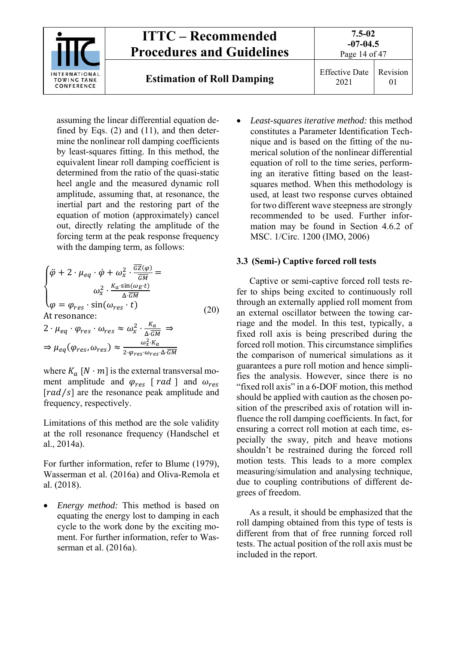

assuming the linear differential equation defined by Eqs. (2) and (11), and then determine the nonlinear roll damping coefficients by least-squares fitting. In this method, the equivalent linear roll damping coefficient is determined from the ratio of the quasi-static heel angle and the measured dynamic roll amplitude, assuming that, at resonance, the inertial part and the restoring part of the equation of motion (approximately) cancel out, directly relating the amplitude of the forcing term at the peak response frequency with the damping term, as follows:

$$
\begin{cases}\n\ddot{\varphi} + 2 \cdot \mu_{eq} \cdot \dot{\varphi} + \omega_x^2 \cdot \frac{\overline{GZ}(\varphi)}{\overline{GM}} = \\
\omega_x^2 \cdot \frac{K_a \cdot \sin(\omega_E \cdot t)}{\Delta \cdot \overline{GM}} \\
\varphi = \varphi_{res} \cdot \sin(\omega_{res} \cdot t) \\
\text{At resonance:} \\
2 \cdot \mu_{eq} \cdot \varphi_{res} \cdot \omega_{res} \approx \omega_x^2 \cdot \frac{K_a}{\Delta \cdot \overline{GM}} \Rightarrow \\
\Rightarrow \mu_{eq}(\varphi_{res}, \omega_{res}) \approx \frac{\omega_x^2 \cdot K_a}{2 \cdot \varphi_{res} \cdot \omega_{res} \cdot \Delta \cdot \overline{GM}}\n\end{cases} (20)
$$

where  $K_a$  [N  $\cdot$  m] is the external transversal moment amplitude and  $\varphi_{res}$  [  $rad$  ] and  $\omega_{res}$  $\lceil rad/s \rceil$  are the resonance peak amplitude and frequency, respectively.

Limitations of this method are the sole validity at the roll resonance frequency (Handschel et al., 2014a).

For further information, refer to Blume (1979), Wasserman et al. (2016a) and Oliva-Remola et al. (2018).

 *Energy method:* This method is based on equating the energy lost to damping in each cycle to the work done by the exciting moment. For further information, refer to Wasserman et al. (2016a).

 *Least-squares iterative method:* this method constitutes a Parameter Identification Technique and is based on the fitting of the numerical solution of the nonlinear differential equation of roll to the time series, performing an iterative fitting based on the leastsquares method. When this methodology is used, at least two response curves obtained for two different wave steepness are strongly recommended to be used. Further information may be found in Section 4.6.2 of MSC. 1/Circ. 1200 (IMO, 2006)

#### **3.3 (Semi-) Captive forced roll tests**

Captive or semi-captive forced roll tests refer to ships being excited to continuously roll through an externally applied roll moment from an external oscillator between the towing carriage and the model. In this test, typically, a fixed roll axis is being prescribed during the forced roll motion. This circumstance simplifies the comparison of numerical simulations as it guarantees a pure roll motion and hence simplifies the analysis. However, since there is no "fixed roll axis" in a 6-DOF motion, this method should be applied with caution as the chosen position of the prescribed axis of rotation will influence the roll damping coefficients. In fact, for ensuring a correct roll motion at each time, especially the sway, pitch and heave motions shouldn't be restrained during the forced roll motion tests. This leads to a more complex measuring/simulation and analysing technique, due to coupling contributions of different degrees of freedom.

As a result, it should be emphasized that the roll damping obtained from this type of tests is different from that of free running forced roll tests. The actual position of the roll axis must be included in the report.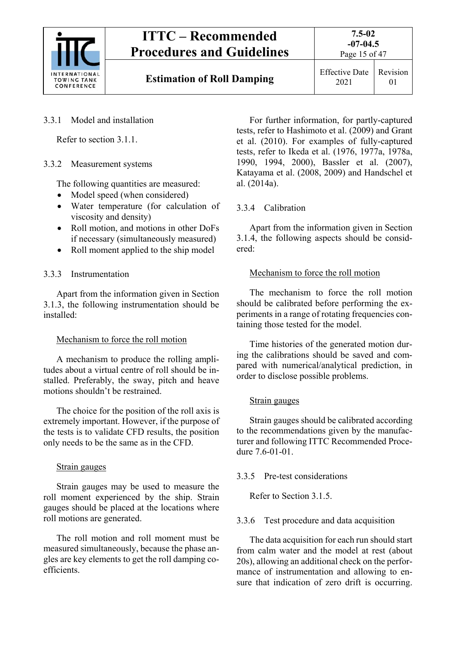

Page 15 of 47

## 3.3.1 Model and installation

Refer to section 3.1.1.

## 3.3.2 Measurement systems

The following quantities are measured:

- Model speed (when considered)
- Water temperature (for calculation of viscosity and density)
- Roll motion, and motions in other DoFs if necessary (simultaneously measured)
- Roll moment applied to the ship model

## 3.3.3 Instrumentation

Apart from the information given in Section 3.1.3, the following instrumentation should be installed:

## Mechanism to force the roll motion

A mechanism to produce the rolling amplitudes about a virtual centre of roll should be installed. Preferably, the sway, pitch and heave motions shouldn't be restrained.

The choice for the position of the roll axis is extremely important. However, if the purpose of the tests is to validate CFD results, the position only needs to be the same as in the CFD.

## Strain gauges

Strain gauges may be used to measure the roll moment experienced by the ship. Strain gauges should be placed at the locations where roll motions are generated.

The roll motion and roll moment must be measured simultaneously, because the phase angles are key elements to get the roll damping coefficients.

For further information, for partly-captured tests, refer to Hashimoto et al. (2009) and Grant et al. (2010). For examples of fully-captured tests, refer to Ikeda et al. (1976, 1977a, 1978a, 1990, 1994, 2000), Bassler et al. (2007), Katayama et al. (2008, 2009) and Handschel et al. (2014a).

## 3.3.4 Calibration

Apart from the information given in Section 3.1.4, the following aspects should be considered:

## Mechanism to force the roll motion

The mechanism to force the roll motion should be calibrated before performing the experiments in a range of rotating frequencies containing those tested for the model.

Time histories of the generated motion during the calibrations should be saved and compared with numerical/analytical prediction, in order to disclose possible problems.

## Strain gauges

Strain gauges should be calibrated according to the recommendations given by the manufacturer and following ITTC Recommended Procedure 7.6-01-01.

## 3.3.5 Pre-test considerations

Refer to Section 3.1.5.

## 3.3.6 Test procedure and data acquisition

The data acquisition for each run should start from calm water and the model at rest (about 20s), allowing an additional check on the performance of instrumentation and allowing to ensure that indication of zero drift is occurring.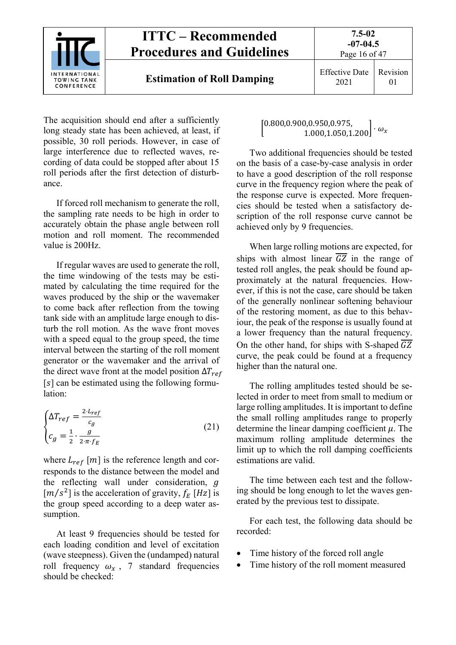

The acquisition should end after a sufficiently long steady state has been achieved, at least, if possible, 30 roll periods. However, in case of large interference due to reflected waves, recording of data could be stopped after about 15 roll periods after the first detection of disturbance.

If forced roll mechanism to generate the roll, the sampling rate needs to be high in order to accurately obtain the phase angle between roll motion and roll moment. The recommended value is 200Hz.

If regular waves are used to generate the roll, the time windowing of the tests may be estimated by calculating the time required for the waves produced by the ship or the wavemaker to come back after reflection from the towing tank side with an amplitude large enough to disturb the roll motion. As the wave front moves with a speed equal to the group speed, the time interval between the starting of the roll moment generator or the wavemaker and the arrival of the direct wave front at the model position  $\Delta T_{ref}$  $[s]$  can be estimated using the following formulation:

$$
\begin{cases}\n\Delta T_{ref} = \frac{2 \cdot L_{ref}}{c_g} \\
C_g = \frac{1}{2} \cdot \frac{g}{2 \cdot \pi \cdot f_E}\n\end{cases}
$$
\n(21)

where  $L_{ref}$  [*m*] is the reference length and corresponds to the distance between the model and the reflecting wall under consideration,  $q$  $[m/s^2]$  is the acceleration of gravity,  $f_E$  [Hz] is the group speed according to a deep water assumption.

At least 9 frequencies should be tested for each loading condition and level of excitation (wave steepness). Given the (undamped) natural roll frequency  $\omega_r$ , 7 standard frequencies should be checked:

 $\begin{bmatrix} 0.800, 0.900, 0.950, 0.975, \ 1.000, 1.050, 1.200 \end{bmatrix} \cdot \omega_x$ 

Two additional frequencies should be tested on the basis of a case-by-case analysis in order to have a good description of the roll response curve in the frequency region where the peak of the response curve is expected. More frequencies should be tested when a satisfactory description of the roll response curve cannot be achieved only by 9 frequencies.

When large rolling motions are expected, for ships with almost linear  $\overline{GZ}$  in the range of tested roll angles, the peak should be found approximately at the natural frequencies. However, if this is not the case, care should be taken of the generally nonlinear softening behaviour of the restoring moment, as due to this behaviour, the peak of the response is usually found at a lower frequency than the natural frequency. On the other hand, for ships with S-shaped  $\overline{GZ}$ curve, the peak could be found at a frequency higher than the natural one.

The rolling amplitudes tested should be selected in order to meet from small to medium or large rolling amplitudes. It is important to define the small rolling amplitudes range to properly determine the linear damping coefficient  $\mu$ . The maximum rolling amplitude determines the limit up to which the roll damping coefficients estimations are valid.

The time between each test and the following should be long enough to let the waves generated by the previous test to dissipate.

For each test, the following data should be recorded:

- Time history of the forced roll angle
- Time history of the roll moment measured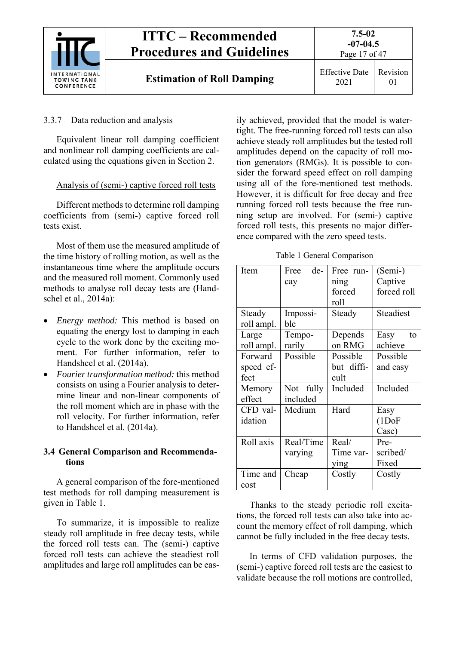

#### 3.3.7 Data reduction and analysis

Equivalent linear roll damping coefficient and nonlinear roll damping coefficients are calculated using the equations given in Section 2.

#### Analysis of (semi-) captive forced roll tests

Different methods to determine roll damping coefficients from (semi-) captive forced roll tests exist.

Most of them use the measured amplitude of the time history of rolling motion, as well as the instantaneous time where the amplitude occurs and the measured roll moment. Commonly used methods to analyse roll decay tests are (Handschel et al., 2014a):

- *Energy method:* This method is based on equating the energy lost to damping in each cycle to the work done by the exciting moment. For further information, refer to Handshcel et al. (2014a).
- *Fourier transformation method:* this method consists on using a Fourier analysis to determine linear and non-linear components of the roll moment which are in phase with the roll velocity. For further information, refer to Handshcel et al. (2014a).

## **3.4 General Comparison and Recommendations**

A general comparison of the fore-mentioned test methods for roll damping measurement is given in Table 1.

To summarize, it is impossible to realize steady roll amplitude in free decay tests, while the forced roll tests can. The (semi-) captive forced roll tests can achieve the steadiest roll amplitudes and large roll amplitudes can be eas-

ily achieved, provided that the model is watertight. The free-running forced roll tests can also achieve steady roll amplitudes but the tested roll amplitudes depend on the capacity of roll motion generators (RMGs). It is possible to consider the forward speed effect on roll damping using all of the fore-mentioned test methods. However, it is difficult for free decay and free running forced roll tests because the free running setup are involved. For (semi-) captive forced roll tests, this presents no major difference compared with the zero speed tests.

Table 1 General Comparison

| Item       | de-<br>Free | Free run-  | (Semi-)             |
|------------|-------------|------------|---------------------|
|            | cay         | ning       | Captive             |
|            |             | forced     | forced roll         |
|            |             | roll       |                     |
| Steady     | Impossi-    | Steady     | Steadiest           |
| roll ampl. | ble         |            |                     |
| Large      | Tempo-      | Depends    | Easy<br>to          |
| roll ampl. | rarily      | on RMG     | achieve             |
| Forward    | Possible    | Possible   | Possible            |
| speed ef-  |             | but diffi- | and easy            |
| fect       |             | cult       |                     |
| Memory     | Not fully   | Included   | Included            |
| effect     | included    |            |                     |
| CFD val-   | Medium      | Hard       | Easy                |
| idation    |             |            | (1D <sub>o</sub> F) |
|            |             |            | Case)               |
| Roll axis  | Real/Time   | Real/      | Pre-                |
|            | varying     | Time var-  | scribed/            |
|            |             | ying       | Fixed               |
| Time and   | Cheap       | Costly     | Costly              |
| cost       |             |            |                     |

Thanks to the steady periodic roll excitations, the forced roll tests can also take into account the memory effect of roll damping, which cannot be fully included in the free decay tests.

In terms of CFD validation purposes, the (semi-) captive forced roll tests are the easiest to validate because the roll motions are controlled,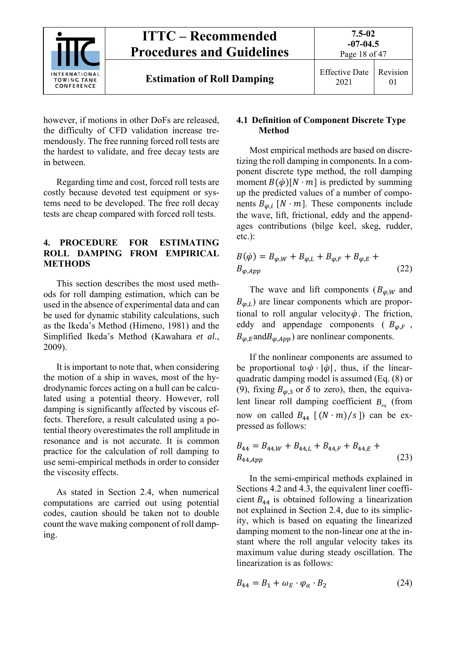

however, if motions in other DoFs are released, the difficulty of CFD validation increase tremendously. The free running forced roll tests are the hardest to validate, and free decay tests are in between.

Regarding time and cost, forced roll tests are costly because devoted test equipment or systems need to be developed. The free roll decay tests are cheap compared with forced roll tests.

#### **4. PROCEDURE FOR ESTIMATING ROLL DAMPING FROM EMPIRICAL METHODS**

This section describes the most used methods for roll damping estimation, which can be used in the absence of experimental data and can be used for dynamic stability calculations, such as the Ikeda's Method (Himeno, 1981) and the Simplified Ikeda's Method (Kawahara *et al.*, 2009).

It is important to note that, when considering the motion of a ship in waves, most of the hydrodynamic forces acting on a hull can be calculated using a potential theory. However, roll damping is significantly affected by viscous effects. Therefore, a result calculated using a potential theory overestimates the roll amplitude in resonance and is not accurate. It is common practice for the calculation of roll damping to use semi-empirical methods in order to consider the viscosity effects.

As stated in Section 2.4, when numerical computations are carried out using potential codes, caution should be taken not to double count the wave making component of roll damping.

#### **4.1 Definition of Component Discrete Type Method**

Most empirical methods are based on discretizing the roll damping in components. In a component discrete type method, the roll damping moment  $B(\phi)[N \cdot m]$  is predicted by summing up the predicted values of a number of components  $B_{\varphi,i}$  [N · m]. These components include the wave, lift, frictional, eddy and the appendages contributions (bilge keel, skeg, rudder, etc.):

$$
B(\dot{\varphi}) = B_{\varphi, W} + B_{\varphi, L} + B_{\varphi, F} + B_{\varphi, E} + B_{\varphi, App}
$$
 (22)

The wave and lift components  $(B_{\varphi,W}$  and  $B_{\varphi,L}$ ) are linear components which are proportional to roll angular velocity $\dot{\varphi}$ . The friction, eddy and appendage components ( $B_{\varphi,F}$ ,  $B_{\varphi,E}$ and $B_{\varphi,App}$ ) are nonlinear components.

If the nonlinear components are assumed to be proportional to  $\dot{\varphi} \cdot |\dot{\varphi}|$ , thus, if the linearquadratic damping model is assumed (Eq. (8) or (9), fixing  $B_{\varphi,3}$  or  $\delta$  to zero), then, the equivalent linear roll damping coefficient *B<sub>eq</sub>* (from now on called  $B_{44}$  [  $(N \cdot m)/s$  ]) can be expressed as follows:

$$
B_{44} = B_{44,W} + B_{44,L} + B_{44,F} + B_{44,E} + B_{44,App}
$$
 (23)

In the semi-empirical methods explained in Sections 4.2 and 4.3, the equivalent liner coefficient  $B_{44}$  is obtained following a linearization not explained in Section 2.4, due to its simplicity, which is based on equating the linearized damping moment to the non-linear one at the instant where the roll angular velocity takes its maximum value during steady oscillation. The linearization is as follows:

$$
B_{44} = B_1 + \omega_E \cdot \varphi_a \cdot B_2 \tag{24}
$$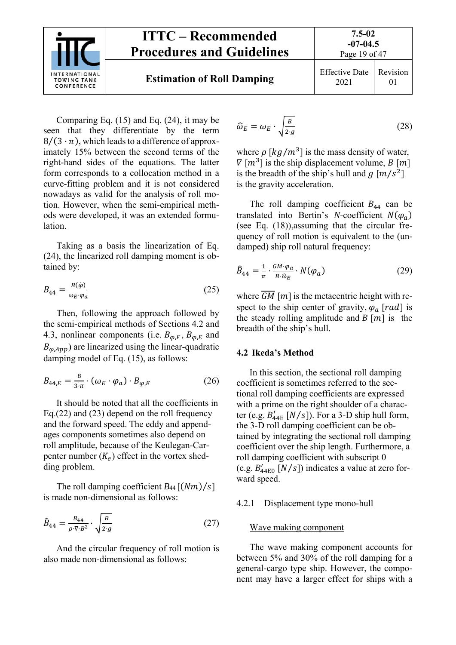

Page 19 of 47

Comparing Eq. (15) and Eq. (24), it may be seen that they differentiate by the term  $8/(3 \cdot \pi)$ , which leads to a difference of approximately 15% between the second terms of the right-hand sides of the equations. The latter form corresponds to a collocation method in a curve-fitting problem and it is not considered nowadays as valid for the analysis of roll motion. However, when the semi-empirical methods were developed, it was an extended formulation.

Taking as a basis the linearization of Eq. (24), the linearized roll damping moment is obtained by:

$$
B_{44} = \frac{B(\dot{\varphi})}{\omega_E \cdot \varphi_a} \tag{25}
$$

Then, following the approach followed by the semi-empirical methods of Sections 4.2 and 4.3, nonlinear components (i.e.  $B_{\varphi,F}$ ,  $B_{\varphi,E}$  and  $B_{\varphi,App}$ ) are linearized using the linear-quadratic damping model of Eq. (15), as follows:

$$
B_{44,E} = \frac{8}{3 \cdot \pi} \cdot (\omega_E \cdot \varphi_a) \cdot B_{\varphi, E} \tag{26}
$$

It should be noted that all the coefficients in Eq.(22) and (23) depend on the roll frequency and the forward speed. The eddy and appendages components sometimes also depend on roll amplitude, because of the Keulegan-Carpenter number  $(K_e)$  effect in the vortex shedding problem.

The roll damping coefficient  $B_{44}$  [ $(Nm)/s$ ] is made non-dimensional as follows:

$$
\hat{B}_{44} = \frac{B_{44}}{\rho \cdot \nabla \cdot B^2} \cdot \sqrt{\frac{B}{2 \cdot g}} \tag{27}
$$

And the circular frequency of roll motion is also made non-dimensional as follows:

$$
\widehat{\omega}_E = \omega_E \cdot \sqrt{\frac{B}{2 \cdot g}} \tag{28}
$$

where  $\rho \left[ \frac{kg}{m^3} \right]$  is the mass density of water,  $\nabla$  [ $m^3$ ] is the ship displacement volume, B [m] is the breadth of the ship's hull and  $q \lfloor m/s^2 \rfloor$ is the gravity acceleration.

The roll damping coefficient  $B_{44}$  can be translated into Bertin's *N*-coefficient  $N(\varphi_a)$ (see Eq. (18)),assuming that the circular frequency of roll motion is equivalent to the (undamped) ship roll natural frequency:

$$
\hat{B}_{44} = \frac{1}{\pi} \cdot \frac{\overline{GM} \cdot \varphi_a}{B \cdot \hat{\omega}_E} \cdot N(\varphi_a)
$$
 (29)

where  $\overline{GM}$  [m] is the metacentric height with respect to the ship center of gravity,  $\varphi_a$  [rad] is the steady rolling amplitude and  $B[m]$  is the breadth of the ship's hull.

#### **4.2 Ikeda's Method**

In this section, the sectional roll damping coefficient is sometimes referred to the sectional roll damping coefficients are expressed with a prime on the right shoulder of a character (e.g.  $B'_{44E}$  [N/s]). For a 3-D ship hull form, the 3-D roll damping coefficient can be obtained by integrating the sectional roll damping coefficient over the ship length. Furthermore, a roll damping coefficient with subscript 0 (e.g.  $B'_{44E0}$  [N/s]) indicates a value at zero forward speed.

#### 4.2.1 Displacement type mono-hull

#### Wave making component

The wave making component accounts for between 5% and 30% of the roll damping for a general-cargo type ship. However, the component may have a larger effect for ships with a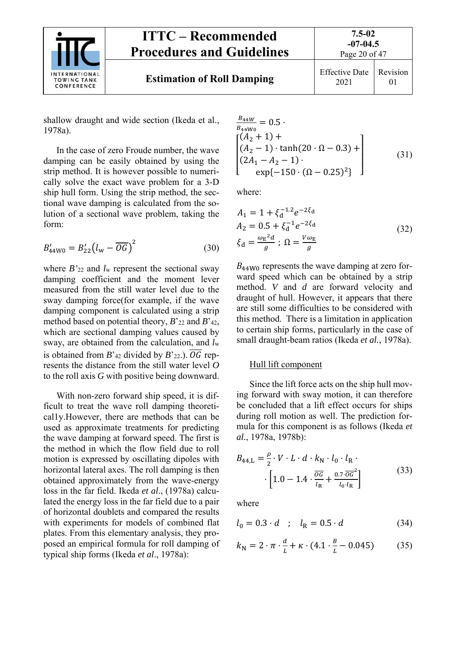

2021 Revision 01

shallow draught and wide section (Ikeda et al., 1978a).

In the case of zero Froude number, the wave damping can be easily obtained by using the strip method. It is however possible to numerically solve the exact wave problem for a 3-D ship hull form. Using the strip method, the sectional wave damping is calculated from the solution of a sectional wave problem, taking the form:

$$
B'_{44W0} = B'_{22} (l_w - \overline{OG})^2
$$
 (30)

where *B'*22 and *l*w represent the sectional sway damping coefficient and the moment lever measured from the still water level due to the sway damping force(for example, if the wave damping component is calculated using a strip method based on potential theory, *B*'22 and *B*'42, which are sectional damping values caused by sway, are obtained from the calculation, and *l*<sup>w</sup> is obtained from  $B'_{42}$  divided by  $B'_{22}$ .).  $\overline{OG}$  represents the distance from the still water level *O* to the roll axis *G* with positive being downward.

With non-zero forward ship speed, it is difficult to treat the wave roll damping theoretical1y.However, there are methods that can be used as approximate treatments for predicting the wave damping at forward speed. The first is the method in which the flow field due to roll motion is expressed by oscillating dipoles with horizontal lateral axes. The roll damping is then obtained approximately from the wave-energy loss in the far field. Ikeda *et al*., (1978a) calculated the energy loss in the far field due to a pair of horizontal doublets and compared the results with experiments for models of combined flat plates. From this elementary analysis, they proposed an empirical formula for roll damping of typical ship forms (Ikeda *et al*., 1978a):

$$
\frac{B_{44W}}{B_{44W0}} = 0.5
$$
\n
$$
\begin{bmatrix}\n(A_2 + 1) + \\
(A_2 - 1) \cdot \tanh(20 \cdot \Omega - 0.3) + \\
(2A_1 - A_2 - 1)\cdot \\
\exp\{-150 \cdot (\Omega - 0.25)^2\}\n\end{bmatrix}
$$
\n(31)

where:

$$
A_1 = 1 + \xi_d^{-1.2} e^{-2\xi_d}
$$
  
\n
$$
A_2 = 0.5 + \xi_d^{-1} e^{-2\xi_d}
$$
  
\n
$$
\xi_d = \frac{\omega_E^2 d}{g} ; \ \Omega = \frac{V \omega_E}{g}
$$
\n(32)

 $B_{44W0}$  represents the wave damping at zero forward speed which can be obtained by a strip method. *V* and *d* are forward velocity and draught of hull. However, it appears that there are still some difficulties to be considered with this method. There is a limitation in application to certain ship forms, particularly in the case of small draught-beam ratios (Ikeda *et al.*, 1978a).

#### Hull lift component

Since the lift force acts on the ship hull moving forward with sway motion, it can therefore be concluded that a lift effect occurs for ships during roll motion as well. The prediction formula for this component is as follows (Ikeda *et al.*, 1978a, 1978b):

$$
B_{44,L} = \frac{\rho}{2} \cdot V \cdot L \cdot d \cdot k_{\rm N} \cdot l_0 \cdot l_{\rm R} \cdot \left[1.0 - 1.4 \cdot \frac{\overline{o}G}{l_{\rm R}} + \frac{0.7 \cdot \overline{o}G^2}{l_0 \cdot l_{\rm R}}\right]
$$
(33)

where

$$
l_0 = 0.3 \cdot d \quad ; \quad l_R = 0.5 \cdot d \tag{34}
$$

$$
k_{\rm N} = 2 \cdot \pi \cdot \frac{d}{L} + \kappa \cdot (4.1 \cdot \frac{B}{L} - 0.045) \tag{35}
$$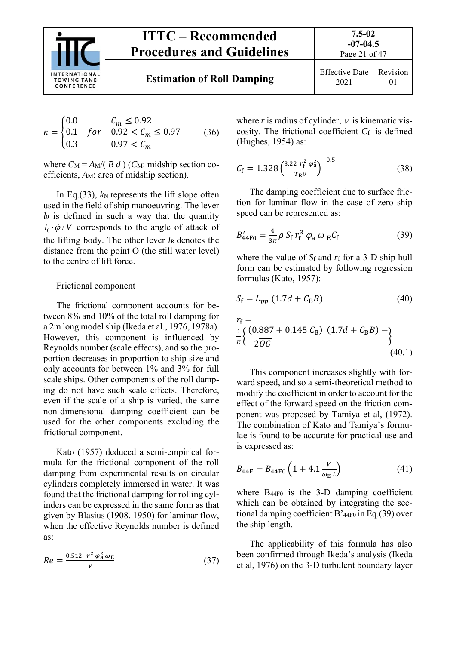

**Estimation of Roll Damping** Effective Date

$$
\kappa = \begin{cases} 0.0 & C_m \le 0.92 \\ 0.1 & for & 0.92 < C_m \le 0.97 \\ 0.3 & 0.97 < C_m \end{cases}
$$
 (36)

where  $C_M = A_M/(B_d)$  (*C*M: midship section coefficients, A<sub>M</sub>: area of midship section).

In Eq.(33),  $k_N$  represents the lift slope often used in the field of ship manoeuvring. The lever *l*0 is defined in such a way that the quantity  $l_0 \cdot \dot{\varphi}/V$  corresponds to the angle of attack of the lifting body. The other lever  *denotes the* distance from the point O (the still water level) to the centre of lift force.

#### Frictional component

The frictional component accounts for between 8% and 10% of the total roll damping for a 2m long model ship (Ikeda et al., 1976, 1978a). However, this component is influenced by Reynolds number (scale effects), and so the proportion decreases in proportion to ship size and only accounts for between 1% and 3% for full scale ships. Other components of the roll damping do not have such scale effects. Therefore, even if the scale of a ship is varied, the same non-dimensional damping coefficient can be used for the other components excluding the frictional component.

Kato (1957) deduced a semi-empirical formula for the frictional component of the roll damping from experimental results on circular cylinders completely immersed in water. It was found that the frictional damping for rolling cylinders can be expressed in the same form as that given by Blasius (1908, 1950) for laminar flow, when the effective Reynolds number is defined as:

$$
Re = \frac{0.512 \ r^2 \ \varphi_a^2 \ \omega_E}{v} \tag{37}
$$

where  $r$  is radius of cylinder,  $v$  is kinematic viscosity. The frictional coefficient  $C_f$  is defined (Hughes, 1954) as:

$$
C_{\rm f} = 1.328 \left( \frac{3.22 \ r_{\rm f}^2 \ \varphi_{\rm a}^2}{T_{\rm R} \nu} \right)^{-0.5} \tag{38}
$$

The damping coefficient due to surface friction for laminar flow in the case of zero ship speed can be represented as:

$$
B'_{44F0} = \frac{4}{3\pi} \rho \, S_f \, r_f^3 \, \varphi_a \, \omega_E C_f \tag{39}
$$

where the value of *S*<sup>f</sup> and *r*f for a 3-D ship hull form can be estimated by following regression formulas (Kato, 1957):

$$
S_{\rm f} = L_{pp} \left( 1.7d + C_{\rm B}B \right) \tag{40}
$$

$$
r_{\rm f} = \frac{1}{\pi} \left\{ \begin{array}{l} (0.887 + 0.145 \, C_{\rm B}) \, (1.7d + C_{\rm B}B) - \\ 2\overline{OG} \end{array} \right\} \tag{40.1}
$$

This component increases slightly with forward speed, and so a semi-theoretical method to modify the coefficient in order to account for the effect of the forward speed on the friction component was proposed by Tamiya et al, (1972). The combination of Kato and Tamiya's formulae is found to be accurate for practical use and is expressed as:

$$
B_{44F} = B_{44F0} \left( 1 + 4.1 \frac{v}{\omega_E L} \right) \tag{41}
$$

where  $B_{44F0}$  is the 3-D damping coefficient which can be obtained by integrating the sectional damping coefficient B'44F0 in Eq.(39) over the ship length.

The applicability of this formula has also been confirmed through Ikeda's analysis (Ikeda et al, 1976) on the 3-D turbulent boundary layer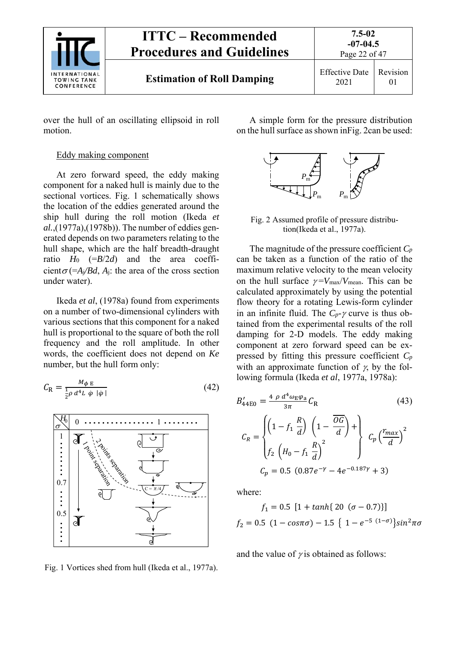

over the hull of an oscillating ellipsoid in roll motion.

#### Eddy making component

At zero forward speed, the eddy making component for a naked hull is mainly due to the sectional vortices. Fig. 1 schematically shows the location of the eddies generated around the ship hull during the roll motion (Ikeda *et al.*,(1977a),(1978b)). The number of eddies generated depends on two parameters relating to the hull shape, which are the half breadth-draught ratio  $H_0$  (= $B/2d$ ) and the area coefficient $\sigma$ (=*A<sub>j</sub>/Bd*, *A*<sub>j</sub>: the area of the cross section under water).

Ikeda *et al*, (1978a) found from experiments on a number of two-dimensional cylinders with various sections that this component for a naked hull is proportional to the square of both the roll frequency and the roll amplitude. In other words, the coefficient does not depend on *Ke*  number, but the hull form only:

$$
C_{\rm R} = \frac{M_{\phi \rm E}}{\frac{1}{2}\rho \, d^4 L \, \dot{\varphi} \, |\dot{\varphi}|} \tag{42}
$$



Fig. 1 Vortices shed from hull (Ikeda et al., 1977a).

A simple form for the pressure distribution on the hull surface as shown inFig. 2can be used:



Fig. 2 Assumed profile of pressure distribution(Ikeda et al., 1977a).

The magnitude of the pressure coefficient *Cp*  can be taken as a function of the ratio of the maximum relative velocity to the mean velocity on the hull surface  $\gamma = V_{\text{max}}/V_{\text{mean}}$ . This can be calculated approximately by using the potential flow theory for a rotating Lewis-form cylinder in an infinite fluid. The  $C_p$ - $\gamma$  curve is thus obtained from the experimental results of the roll damping for 2-D models. The eddy making component at zero forward speed can be expressed by fitting this pressure coefficient *Cp* with an approximate function of  $\gamma$ , by the following formula (Ikeda *et al*, 1977a, 1978a):

$$
B'_{44E0} = \frac{4 \rho d^4 \omega_E \varphi_a}{3\pi} C_R
$$
\n(43)\n
$$
C_R = \begin{cases}\n\left(1 - f_1 \frac{R}{d}\right) \left(1 - \frac{\overline{OG}}{d}\right) + \\ \left(f_2 \left(H_0 - f_1 \frac{R}{d}\right)^2\right) & C_p \left(\frac{r_{max}}{d}\right)^2\\ C_p = 0.5 \left(0.87e^{-\gamma} - 4e^{-0.187\gamma} + 3\right)\n\end{cases}
$$

where:

$$
f_1 = 0.5 [1 + \tanh\{20 (\sigma - 0.7)\}]
$$

$$
f_2 = 0.5 (1 - \cos \pi \sigma) - 1.5 \{ 1 - e^{-5 (1 - \sigma)} \} \sin^2 \pi \sigma
$$

and the value of  $\gamma$  is obtained as follows: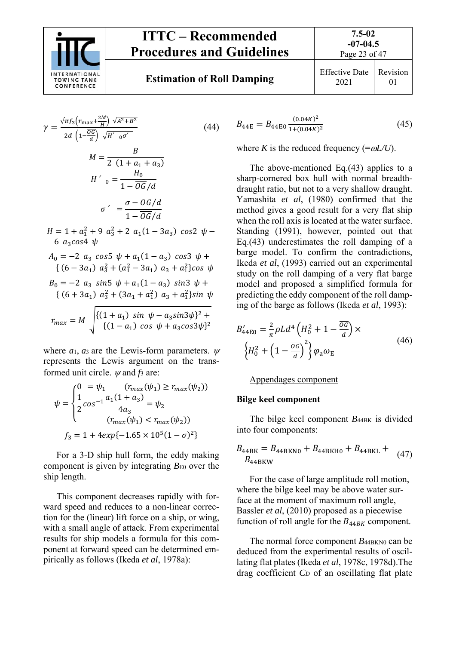

$$
\gamma = \frac{\sqrt{\pi} f_3 (r_{\text{max}} + \frac{2M}{H}) \sqrt{A^2 + B^2}}{2d \left(1 - \frac{\overline{0G}}{d}\right) \sqrt{H'} \cdot o^{\sigma'}} \tag{44}
$$
\n
$$
M = \frac{B}{2 \left(1 + a_1 + a_3\right)}
$$
\n
$$
H' \cdot o = \frac{H_0}{1 - \overline{0G}/d}
$$
\n
$$
\sigma' = \frac{\sigma - \overline{0G}/d}{1 - \overline{0G}/d}
$$
\n
$$
H = 1 + a_1^2 + 9 \ a_3^2 + 2 \ a_1 (1 - 3a_3) \ cos 2 \ \psi -
$$

6  $a_3cos4 \psi$  $A_0 = -2 a_3 \cos 5 \psi + a_1(1-a_3) \cos 3 \psi +$  $\{(6-3a_1) \; a_3^2 + (a_1^2 - 3a_1) \; a_3 + a_1^2\}$ cos  $\psi$  $B_0 = -2 a_3 \sin 5 \psi + a_1(1-a_3) \sin 3 \psi +$ 

$$
\begin{aligned} \{ \ (6+3a_1) \ \ a_3^2 + (3a_1 + a_1^2) \ \ a_3 + a_1^2 \} \sin \psi \\ r_{max} &= M \ \sqrt{\frac{\{(1+a_1) \ \sin \ \psi - a_3 \sin 3\psi\}^2 + \{(1-a_1) \ \cos \ \psi + a_3 \cos 3\psi\}^2} \end{aligned}
$$

where  $a_1$ ,  $a_3$  are the Lewis-form parameters.  $\psi$ represents the Lewis argument on the transformed unit circle.  $\psi$  and  $f_3$  are:

$$
\psi = \begin{cases}\n0 & = \psi_1 \quad (r_{max}(\psi_1) \ge r_{max}(\psi_2)) \\
\frac{1}{2}cos^{-1}\frac{a_1(1+a_3)}{4a_3} & = \psi_2 \\
(r_{max}(\psi_1) < r_{max}(\psi_2))\n\end{cases}
$$
\n
$$
f_3 = 1 + 4exp\{-1.65 \times 10^5 (1 - \sigma)^2\}
$$

For a 3-D ship hull form, the eddy making component is given by integrating  $B_{E0}$  over the ship length.

This component decreases rapidly with forward speed and reduces to a non-linear correction for the (linear) lift force on a ship, or wing, with a small angle of attack. From experimental results for ship models a formula for this component at forward speed can be determined empirically as follows (Ikeda *et al*, 1978a):

$$
B_{44E} = B_{44E0} \frac{(0.04K)^2}{1 + (0.04K)^2}
$$
 (45)

where *K* is the reduced frequency (= $\omega L/U$ ).

The above-mentioned Eq.(43) applies to a sharp-cornered box hull with normal breadthdraught ratio, but not to a very shallow draught. Yamashita *et al*, (1980) confirmed that the method gives a good result for a very flat ship when the roll axis is located at the water surface. Standing (1991), however, pointed out that Eq.(43) underestimates the roll damping of a barge model. To confirm the contradictions, Ikeda *et al*, (1993) carried out an experimental study on the roll damping of a very flat barge model and proposed a simplified formula for predicting the eddy component of the roll damping of the barge as follows (Ikeda *et al*, 1993):

$$
B'_{44E0} = \frac{2}{\pi} \rho L d^4 \left( H_0^2 + 1 - \frac{\overline{OC}}{d} \right) \times
$$
  

$$
\left\{ H_0^2 + \left( 1 - \frac{\overline{OC}}{d} \right)^2 \right\} \varphi_a \omega_E
$$
 (46)

Appendages component

#### **Bilge keel component**

The bilge keel component *B*<sub>44BK</sub> is divided into four components:

$$
B_{44\text{BK}} = B_{44\text{BKN0}} + B_{44\text{BKH0}} + B_{44\text{BKL}} +
$$
  
\n
$$
B_{44\text{BKW}} \tag{47}
$$

For the case of large amplitude roll motion, where the bilge keel may be above water surface at the moment of maximum roll angle, Bassler *et al*, (2010) proposed as a piecewise function of roll angle for the  $B_{44BK}$  component.

The normal force component  $B_{44BKN0}$  can be deduced from the experimental results of oscillating flat plates (Ikeda *et al*, 1978c, 1978d).The drag coefficient *CD* of an oscillating flat plate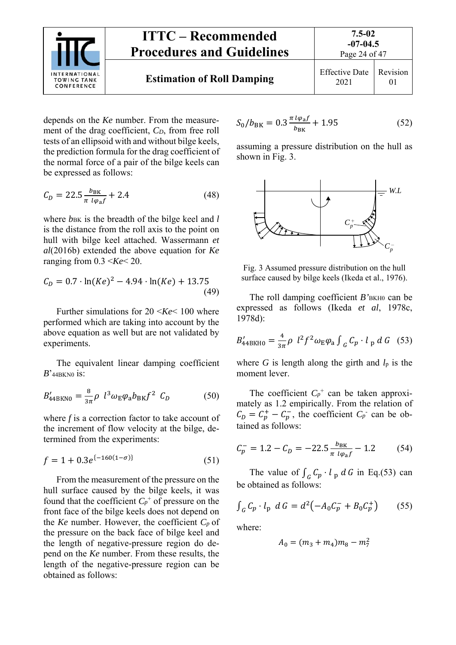

depends on the *Ke* number. From the measurement of the drag coefficient, *CD*, from free roll tests of an ellipsoid with and without bilge keels, the prediction formula for the drag coefficient of the normal force of a pair of the bilge keels can be expressed as follows:

$$
C_D = 22.5 \frac{b_{BK}}{\pi l \varphi_a f} + 2.4 \tag{48}
$$

where  $b_{BK}$  is the breadth of the bilge keel and *l* is the distance from the roll axis to the point on hull with bilge keel attached. Wassermann *et al*(2016b) extended the above equation for *Ke* ranging from  $0.3 \leq Ke \leq 20$ .

$$
C_D = 0.7 \cdot \ln(Ke)^2 - 4.94 \cdot \ln(Ke) + 13.75
$$
\n(49)

Further simulations for 20 <*Ke*< 100 where performed which are taking into account by the above equation as well but are not validated by experiments.

The equivalent linear damping coefficient  $B$ <sup>'</sup><sub>44BKN0</sub> is:

$$
B'_{44BKN0} = \frac{8}{3\pi} \rho l^3 \omega_{\rm E} \varphi_{\rm a} b_{\rm BK} f^2 C_D \tag{50}
$$

where *f* is a correction factor to take account of the increment of flow velocity at the bilge, determined from the experiments:

$$
f = 1 + 0.3e^{\{-160(1-\sigma)\}}
$$
 (51)

From the measurement of the pressure on the hull surface caused by the bilge keels, it was found that the coefficient  $C_p^+$  of pressure on the front face of the bilge keels does not depend on the *Ke* number. However, the coefficient  $C_p$  of the pressure on the back face of bilge keel and the length of negative-pressure region do depend on the *Ke* number. From these results, the length of the negative-pressure region can be obtained as follows:

$$
S_0/b_{\rm BK} = 0.3 \frac{\pi l \varphi_{\rm a} f}{b_{\rm BK}} + 1.95 \tag{52}
$$

assuming a pressure distribution on the hull as shown in Fig. 3.



Fig. 3 Assumed pressure distribution on the hull surface caused by bilge keels (Ikeda et al., 1976).

The roll damping coefficient *B*'<sub>BKH0</sub> can be expressed as follows (Ikeda *et al*, 1978c, 1978d):

$$
B'_{44\,\text{BKH0}} = \frac{4}{3\pi} \rho \ l^2 f^2 \omega_{\text{E}} \varphi_{\text{a}} \int_{G} C_p \cdot l_{\text{p}} dG \quad (53)
$$

where *G* is length along the girth and  $l_p$  is the moment lever.

The coefficient  $C_p^+$  can be taken approximately as 1.2 empirically. From the relation of  $C_D = C_p^+ - C_p^-$ , the coefficient  $C_p^-$  can be obtained as follows:

$$
C_p^- = 1.2 - C_D = -22.5 \frac{b_{BK}}{\pi l \varphi_a f} - 1.2 \tag{54}
$$

The value of  $\int_{C} C_p \cdot l_p dG$  in Eq.(53) can be obtained as follows:

$$
\int_{G} C_p \cdot l_p \ dG = d^2 \big( -A_0 C_p^- + B_0 C_p^+ \big) \tag{55}
$$

where:

$$
A_0 = (m_3 + m_4)m_8 - m_7^2
$$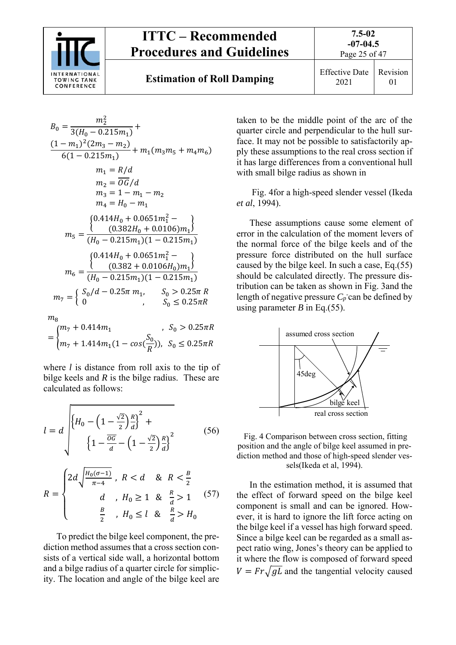

ଶ

# **ITTC – Recommended Procedures and Guidelines**

**Estimation of Roll Damping** Effective Date

2021 Revision 01

**7.5-02** 

$$
B_0 = \frac{m_2^2}{3(H_0 - 0.215m_1)} +
$$
  
\n
$$
\frac{(1 - m_1)^2 (2m_3 - m_2)}{6(1 - 0.215m_1)} + m_1(m_3m_5 + m_4m_6)
$$
  
\n
$$
m_1 = R/d
$$
  
\n
$$
m_2 = \overline{OG}/d
$$
  
\n
$$
m_3 = 1 - m_1 - m_2
$$
  
\n
$$
m_4 = H_0 - m_1
$$
  
\n
$$
m_5 = \frac{\{(0.414H_0 + 0.0651m_1^2 - \dots) \}}{(H_0 - 0.215m_1)(1 - 0.215m_1)}
$$
  
\n
$$
m_6 = \frac{\{(0.414H_0 + 0.0651m_1^2 - \dots) \}}{(H_0 - 0.215m_1)(1 - 0.215m_1)}
$$
  
\n
$$
m_7 = \begin{cases} S_0/d - 0.25\pi m_1, & S_0 > 0.25\pi R \\ 0, & S_0 \le 0.25\pi R \end{cases}
$$

$$
m_8
$$
\n
$$
= \begin{cases} m_7 + 0.414m_1 & , S_0 > 0.25\pi R \\ m_7 + 1.414m_1(1 - \cos(\frac{S_0}{R})), & S_0 \le 0.25\pi R \end{cases}
$$

where *l* is distance from roll axis to the tip of bilge keels and *R* is the bilge radius. These are calculated as follows:

$$
l = d \sqrt{\left\{ H_0 - \left( 1 - \frac{\sqrt{2}}{2} \right) \frac{R}{d} \right\}^2 + \left\{ 1 - \frac{\overline{0G}}{d} - \left( 1 - \frac{\sqrt{2}}{2} \right) \frac{R}{d} \right\}^2}
$$
(56)

$$
R = \begin{cases} 2d\sqrt{\frac{H_0(\sigma - 1)}{\pi - 4}}, & R < d \quad \& R < \frac{B}{2} \\ d & H_0 \ge 1 \quad \& \frac{R}{d} > 1 \end{cases} \quad (57)
$$

To predict the bilge keel component, the prediction method assumes that a cross section consists of a vertical side wall, a horizontal bottom and a bilge radius of a quarter circle for simplicity. The location and angle of the bilge keel are taken to be the middle point of the arc of the quarter circle and perpendicular to the hull surface. It may not be possible to satisfactorily apply these assumptions to the real cross section if it has large differences from a conventional hull with small bilge radius as shown in

 Fig. 4for a high-speed slender vessel (Ikeda *et al*, 1994).

These assumptions cause some element of error in the calculation of the moment levers of the normal force of the bilge keels and of the pressure force distributed on the hull surface caused by the bilge keel. In such a case, Eq.(55) should be calculated directly. The pressure distribution can be taken as shown in Fig. 3and the length of negative pressure  $C_p$  can be defined by using parameter  $B$  in Eq.(55).



 Fig. 4 Comparison between cross section, fitting position and the angle of bilge keel assumed in prediction method and those of high-speed slender vessels(Ikeda et al, 1994).

In the estimation method, it is assumed that the effect of forward speed on the bilge keel component is small and can be ignored. However, it is hard to ignore the lift force acting on the bilge keel if a vessel has high forward speed. Since a bilge keel can be regarded as a small aspect ratio wing, Jones's theory can be applied to it where the flow is composed of forward speed  $V = Fr\sqrt{gL}$  and the tangential velocity caused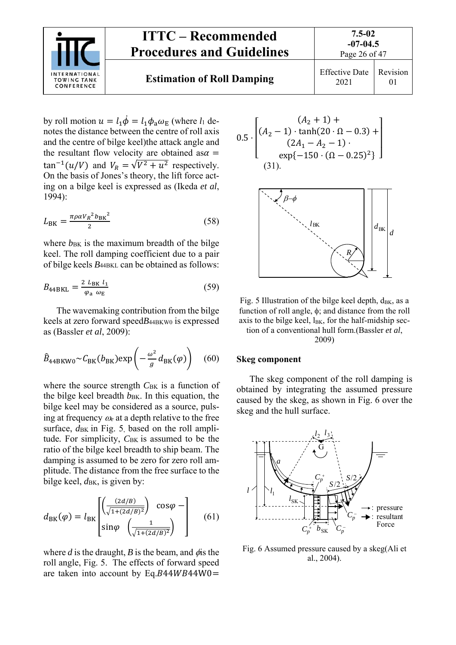

by roll motion  $u = l_1 \dot{\phi} = l_1 \phi_a \omega_E$  (where  $l_1$  denotes the distance between the centre of roll axis and the centre of bilge keel)the attack angle and the resultant flow velocity are obtained as  $\alpha =$  $\tan^{-1}(u/V)$  and  $V_R = \sqrt{V^2 + u^2}$  respectively. On the basis of Jones's theory, the lift force acting on a bilge keel is expressed as (Ikeda *et al*, 1994):

$$
L_{\rm BK} = \frac{\pi \rho \alpha V_R^2 b_{\rm BK}^2}{2} \tag{58}
$$

where  $b_{BK}$  is the maximum breadth of the bilge keel. The roll damping coefficient due to a pair of bilge keels *B*44BKL can be obtained as follows:

$$
B_{44BKL} = \frac{2 L_{BK} l_1}{\varphi_a \omega_E} \tag{59}
$$

The wavemaking contribution from the bilge keels at zero forward speed*B*44BKW0 is expressed as (Bassler *et al*, 2009):

$$
\hat{B}_{44\text{BKW}0} \sim C_{\text{BK}}(b_{\text{BK}}) \exp\left(-\frac{\omega^2}{g} d_{\text{BK}}(\varphi)\right) \quad (60)
$$

where the source strength  $C_{BK}$  is a function of the bilge keel breadth  $b_{BK}$ . In this equation, the bilge keel may be considered as a source, pulsing at frequency  $\omega_e$  at a depth relative to the free surface,  $d_{BK}$  in Fig. 5, based on the roll amplitude. For simplicity, C<sub>BK</sub> is assumed to be the ratio of the bilge keel breadth to ship beam. The damping is assumed to be zero for zero roll amplitude. The distance from the free surface to the bilge keel,  $d_{BK}$ , is given by:

$$
d_{\text{BK}}(\varphi) = l_{\text{BK}} \begin{bmatrix} \left(\frac{(2d/B)}{\sqrt{1 + (2d/B)^2}}\right) & \cos\varphi - \\ \sin\varphi & \left(\frac{1}{\sqrt{1 + (2d/B)^2}}\right) \end{bmatrix}
$$
 (61)

where  $d$  is the draught,  $B$  is the beam, and  $\phi$  is the roll angle, Fig. 5. The effects of forward speed are taken into account by Eq. $B44WB44W0 =$ 

$$
0.5 \cdot \begin{bmatrix} (A_2 + 1) + \\ (A_2 - 1) \cdot \tanh(20 \cdot \Omega - 0.3) + \\ (2A_1 - A_2 - 1) \cdot \\ \exp\{-150 \cdot (\Omega - 0.25)^2\} \end{bmatrix}
$$
  
(31).



Fig. 5 Illustration of the bilge keel depth,  $d_{BK}$ , as a function of roll angle,  $\phi$ ; and distance from the roll axis to the bilge keel,  $l_{BK}$ , for the half-midship section of a conventional hull form.(Bassler *et al*,

2009)

#### **Skeg component**

The skeg component of the roll damping is obtained by integrating the assumed pressure caused by the skeg, as shown in Fig. 6 over the skeg and the hull surface.



Fig. 6 Assumed pressure caused by a skeg(Ali et al., 2004).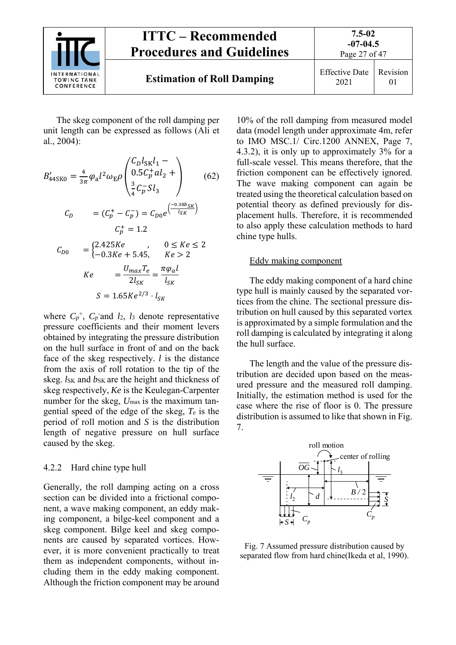

The skeg component of the roll damping per unit length can be expressed as follows (Ali et al., 2004):

$$
B'_{445K0} = \frac{4}{3\pi} \varphi_a l^2 \omega_E \rho \begin{pmatrix} C_D l_{SK} l_1 - \\ 0.5 C_p^+ a l_2 + \\ \frac{3}{4} C_p^- S l_3 \end{pmatrix}
$$
 (62)  

$$
C_D = (C_p^+ - C_p^-) = C_{D0} e^{\left(\frac{-0.38b_{SK}}{l_{SK}}\right)}
$$

$$
C_p^+ = 1.2
$$
  

$$
C_{D0} = \begin{cases} 2.425Ke & 0 \le Ke \le 2\\ -0.3Ke + 5.45, & Ke > 2 \end{cases}
$$
  

$$
Ke = \frac{U_{max} T_e}{2l_{SK}} = \frac{\pi \varphi_a l}{l_{SK}}
$$
  

$$
S = 1.65Ke^{2/3} \cdot l_{SK}
$$

where  $C_p^+$ ,  $C_p$  and  $l_2$ ,  $l_3$  denote representative pressure coefficients and their moment levers obtained by integrating the pressure distribution on the hull surface in front of and on the back face of the skeg respectively. *l* is the distance from the axis of roll rotation to the tip of the skeg. *lsk* and *bsk* are the height and thickness of skeg respectively, *Ke* is the Keulegan-Carpenter number for the skeg,  $U_{\text{max}}$  is the maximum tangential speed of the edge of the skeg, *Te* is the period of roll motion and *S* is the distribution length of negative pressure on hull surface caused by the skeg.

#### 4.2.2 Hard chine type hull

Generally, the roll damping acting on a cross section can be divided into a frictional component, a wave making component, an eddy making component, a bilge-keel component and a skeg component. Bilge keel and skeg components are caused by separated vortices. However, it is more convenient practically to treat them as independent components, without including them in the eddy making component. Although the friction component may be around

10% of the roll damping from measured model data (model length under approximate 4m, refer to IMO MSC.1/ Circ.1200 ANNEX, Page 7, 4.3.2), it is only up to approximately 3% for a full-scale vessel. This means therefore, that the friction component can be effectively ignored. The wave making component can again be treated using the theoretical calculation based on potential theory as defined previously for displacement hulls. Therefore, it is recommended to also apply these calculation methods to hard chine type hulls.

Revision 01

#### Eddy making component

The eddy making component of a hard chine type hull is mainly caused by the separated vortices from the chine. The sectional pressure distribution on hull caused by this separated vortex is approximated by a simple formulation and the roll damping is calculated by integrating it along the hull surface.

The length and the value of the pressure distribution are decided upon based on the measured pressure and the measured roll damping. Initially, the estimation method is used for the case where the rise of floor is 0. The pressure distribution is assumed to like that shown in Fig. 7.



Fig. 7 Assumed pressure distribution caused by separated flow from hard chine(Ikeda et al, 1990).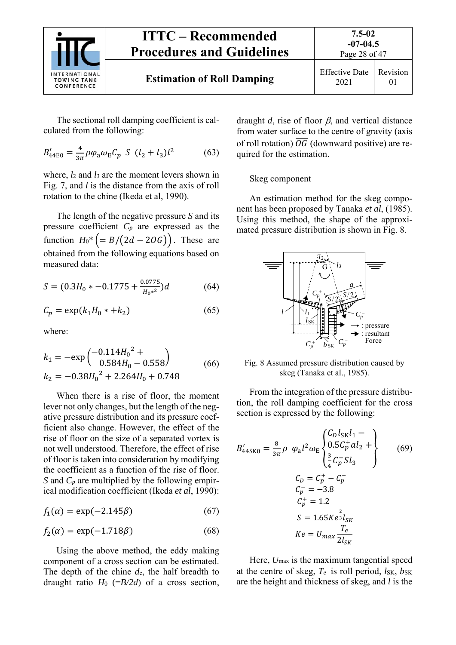

The sectional roll damping coefficient is calculated from the following:

$$
B'_{44E0} = \frac{4}{3\pi} \rho \varphi_a \omega_E C_p \ S \ (l_2 + l_3) l^2 \tag{63}
$$

where, *l*2 and *l*3 are the moment levers shown in Fig. 7, and *l* is the distance from the axis of roll rotation to the chine (Ikeda et al, 1990).

The length of the negative pressure *S* and its pressure coefficient *Cp* are expressed as the function  $H_0^* = B/(2d - 2\overline{OG})$ . These are obtained from the following equations based on measured data:

$$
S = (0.3H_0 * -0.1775 + \frac{0.0775}{H_0 *^2})d \tag{64}
$$

$$
C_p = \exp(k_1 H_0 * + k_2) \tag{65}
$$

where:

$$
k_1 = -\exp\left(\frac{-0.114H_0^2 + 0.558}{0.584H_0 - 0.558}\right)
$$
  
\n
$$
k_2 = -0.38H_0^2 + 2.264H_0 + 0.748
$$
 (66)

When there is a rise of floor, the moment lever not only changes, but the length of the negative pressure distribution and its pressure coefficient also change. However, the effect of the rise of floor on the size of a separated vortex is not well understood. Therefore, the effect of rise of floor is taken into consideration by modifying the coefficient as a function of the rise of floor. *S* and *C<sub>p</sub>* are multiplied by the following empirical modification coefficient (Ikeda *et al*, 1990):

$$
f_1(\alpha) = \exp(-2.145\beta) \tag{67}
$$

$$
f_2(\alpha) = \exp(-1.718\beta) \tag{68}
$$

Using the above method, the eddy making component of a cross section can be estimated. The depth of the chine *d*c, the half breadth to draught ratio  $H_0$  (= $B/2d$ ) of a cross section,

draught  $d$ , rise of floor  $\beta$ , and vertical distance from water surface to the centre of gravity (axis of roll rotation)  $\overline{OG}$  (downward positive) are required for the estimation.

#### Skeg component

An estimation method for the skeg component has been proposed by Tanaka *et al*, (1985). Using this method, the shape of the approximated pressure distribution is shown in Fig. 8.



Fig. 8 Assumed pressure distribution caused by skeg (Tanaka et al., 1985).

From the integration of the pressure distribution, the roll damping coefficient for the cross section is expressed by the following:

$$
B'_{44\text{SK0}} = \frac{8}{3\pi} \rho \varphi_a l^2 \omega_E \begin{cases} C_D l_{\text{SK}} l_1 - \\ 0.5 C_p^+ a l_2 + \\ \frac{3}{4} C_p^- S l_3 \end{cases} \tag{69}
$$
  

$$
C_D = C_p^+ - C_p^-
$$
  

$$
C_p^- = -3.8
$$
  

$$
C_p^+ = 1.2
$$
  

$$
S = 1.65 K e^{\frac{2}{3}} l_{\text{SK}}
$$
  

$$
K e = U_{\text{max}} \frac{T_e}{2 l_{\text{SK}}}
$$

Here,  $U_{\text{max}}$  is the maximum tangential speed at the centre of skeg,  $T_e$  is roll period,  $l_{SK}$ ,  $b_{SK}$ are the height and thickness of skeg, and *l* is the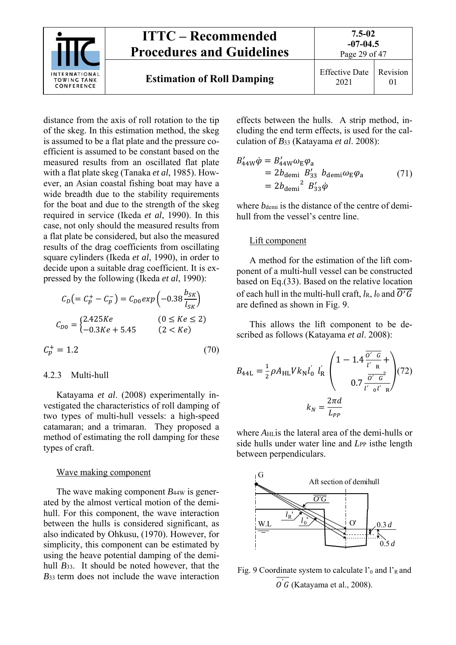

distance from the axis of roll rotation to the tip of the skeg. In this estimation method, the skeg is assumed to be a flat plate and the pressure coefficient is assumed to be constant based on the measured results from an oscillated flat plate with a flat plate skeg (Tanaka *et al*, 1985). However, an Asian coastal fishing boat may have a wide breadth due to the stability requirements for the boat and due to the strength of the skeg required in service (Ikeda *et al*, 1990). In this case, not only should the measured results from a flat plate be considered, but also the measured results of the drag coefficients from oscillating square cylinders (Ikeda *et al*, 1990), in order to decide upon a suitable drag coefficient. It is expressed by the following (Ikeda *et al*, 1990):

$$
C_D = C_p^+ - C_p^- = C_{D0} exp \left( -0.38 \frac{b_{SK}}{l_{SK}} \right)
$$
  

$$
C_{D0} = \begin{cases} 2.425Ke & (0 \le Ke \le 2) \\ -0.3Ke + 5.45 & (2 < Ke) \end{cases}
$$

$$
\mathcal{C}_p^+ = 1.2\tag{70}
$$

#### 4.2.3 Multi-hull

Katayama *et al*. (2008) experimentally investigated the characteristics of roll damping of two types of multi-hull vessels: a high-speed catamaran; and a trimaran. They proposed a method of estimating the roll damping for these types of craft.

#### Wave making component

The wave making component *B*<sub>44W</sub> is generated by the almost vertical motion of the demihull. For this component, the wave interaction between the hulls is considered significant, as also indicated by Ohkusu, (1970). However, for simplicity, this component can be estimated by using the heave potential damping of the demihull *B*33. It should be noted however, that the *B*33 term does not include the wave interaction effects between the hulls. A strip method, including the end term effects, is used for the calculation of *B*33 (Katayama *et al*. 2008):

$$
B'_{44W}\dot{\varphi} = B'_{44W}\omega_{E}\varphi_{a}
$$
  
=  $2b_{\text{demi}} B'_{33} b_{\text{demi}}\omega_{E}\varphi_{a}$  (71)  
=  $2b_{\text{demi}}^{2} B'_{33}\dot{\varphi}$ 

where *b*<sub>demi</sub> is the distance of the centre of demihull from the vessel's centre line.

#### Lift component

A method for the estimation of the lift component of a multi-hull vessel can be constructed based on Eq.(33). Based on the relative location of each hull in the multi-hull craft,  $l_R$ ,  $l_0$  and  $\overline{O'G}$ are defined as shown in Fig. 9.

This allows the lift component to be described as follows (Katayama *et al*. 2008):

$$
B_{44L} = \frac{1}{2} \rho A_{HL} V k_N l_0' l_R' \left( \frac{1 - 1.4 \frac{\overline{O'} G}{l' R} + 0.7 \frac{\overline{O'} G^2}{l' \sigma l' R}} \right) (72)
$$

$$
k_N = \frac{2\pi d}{L_{PP}}
$$

where  $A_{\text{HI}}$  is the lateral area of the demi-hulls or side hulls under water line and *L*<sub>PP</sub> isthe length between perpendiculars.



Fig. 9 Coordinate system to calculate  $l$ <sup>'</sup><sub>0</sub> and  $l$ <sup>'</sup><sub>R</sub> and  $0'$ G (Katayama et al., 2008).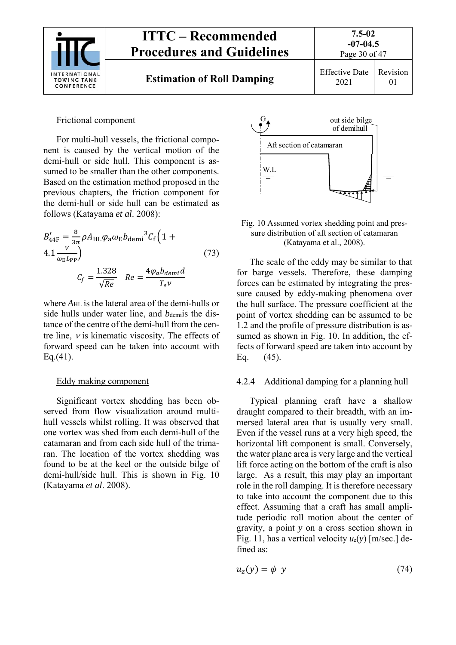

## Frictional component

For multi-hull vessels, the frictional component is caused by the vertical motion of the demi-hull or side hull. This component is assumed to be smaller than the other components. Based on the estimation method proposed in the previous chapters, the friction component for the demi-hull or side hull can be estimated as follows (Katayama *et al*. 2008):

$$
B'_{44F} = \frac{8}{3\pi} \rho A_{HL} \varphi_a \omega_E b_{\text{demi}}^3 C_f \left( 1 + 4.1 \frac{V}{\omega_E L_{PP}} \right)
$$
\n
$$
C_f = \frac{1.328}{\sqrt{Re}} \quad Re = \frac{4\varphi_a b_{\text{demi}} d}{T_e v}
$$
\n(73)

where *A*HL is the lateral area of the demi-hulls or side hulls under water line, and *b*demis the distance of the centre of the demi-hull from the centre line,  $\nu$  is kinematic viscosity. The effects of forward speed can be taken into account with Eq.(41).

## Eddy making component

Significant vortex shedding has been observed from flow visualization around multihull vessels whilst rolling. It was observed that one vortex was shed from each demi-hull of the catamaran and from each side hull of the trimaran. The location of the vortex shedding was found to be at the keel or the outside bilge of demi-hull/side hull. This is shown in Fig. 10 (Katayama *et al*. 2008).



#### Fig. 10 Assumed vortex shedding point and pressure distribution of aft section of catamaran (Katayama et al., 2008).

The scale of the eddy may be similar to that for barge vessels. Therefore, these damping forces can be estimated by integrating the pressure caused by eddy-making phenomena over the hull surface. The pressure coefficient at the point of vortex shedding can be assumed to be 1.2 and the profile of pressure distribution is assumed as shown in Fig. 10. In addition, the effects of forward speed are taken into account by Eq. (45).

## 4.2.4 Additional damping for a planning hull

Typical planning craft have a shallow draught compared to their breadth, with an immersed lateral area that is usually very small. Even if the vessel runs at a very high speed, the horizontal lift component is small. Conversely, the water plane area is very large and the vertical lift force acting on the bottom of the craft is also large. As a result, this may play an important role in the roll damping. It is therefore necessary to take into account the component due to this effect. Assuming that a craft has small amplitude periodic roll motion about the center of gravity, a point *y* on a cross section shown in Fig. 11, has a vertical velocity *uz*(*y*) [m/sec.] defined as:

$$
u_z(y) = \dot{\varphi} \, y \tag{74}
$$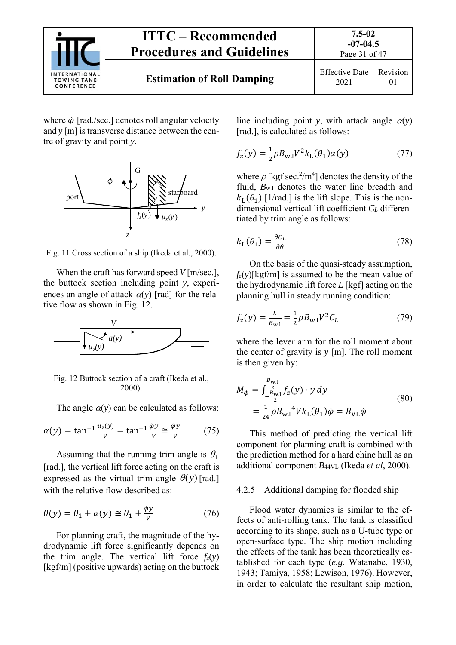

where  $\dot{\varphi}$  [rad./sec.] denotes roll angular velocity and *y* [m] is transverse distance between the centre of gravity and point *y*.



Fig. 11 Cross section of a ship (Ikeda et al., 2000).

When the craft has forward speed *V* [m/sec.], the buttock section including point *y*, experiences an angle of attack  $\alpha(y)$  [rad] for the relative flow as shown in Fig. 12.



Fig. 12 Buttock section of a craft (Ikeda et al., 2000).

The angle  $\alpha(y)$  can be calculated as follows:

$$
\alpha(y) = \tan^{-1} \frac{u_z(y)}{v} = \tan^{-1} \frac{\dot{\varphi}y}{v} \approx \frac{\dot{\varphi}y}{v}
$$
 (75)

Assuming that the running trim angle is  $\theta_1$ [rad.], the vertical lift force acting on the craft is expressed as the virtual trim angle  $\theta(y)$  [rad.] with the relative flow described as:

$$
\theta(y) = \theta_1 + \alpha(y) \cong \theta_1 + \frac{\dot{\varphi}y}{V}
$$
 (76)

For planning craft, the magnitude of the hydrodynamic lift force significantly depends on the trim angle. The vertical lift force  $f_z(y)$ [kgf/m] (positive upwards) acting on the buttock line including point *y*, with attack angle  $\alpha(y)$ [rad.], is calculated as follows:

$$
f_{z}(y) = \frac{1}{2} \rho B_{w,l} V^2 k_{L}(\theta_{1}) \alpha(y)
$$
 (77)

where  $\rho$  [kgf sec.<sup>2</sup>/m<sup>4</sup>] denotes the density of the fluid,  $B_{w,1}$  denotes the water line breadth and  $k_L(\theta_1)$  [1/rad.] is the lift slope. This is the nondimensional vertical lift coefficient *CL* differentiated by trim angle as follows:

$$
k_{\mathrm{L}}(\theta_1) = \frac{\partial c_{\mathrm{L}}}{\partial \theta} \tag{78}
$$

On the basis of the quasi-steady assumption,  $f_z(y)$ [kgf/m] is assumed to be the mean value of the hydrodynamic lift force *L* [kgf] acting on the planning hull in steady running condition:

$$
f_z(y) = \frac{L}{B_{\text{w.l}}} = \frac{1}{2} \rho B_{\text{w.l}} V^2 C_L \tag{79}
$$

where the lever arm for the roll moment about the center of gravity is *y* [m]. The roll moment is then given by:

$$
M_{\phi} = \int_{-\frac{B_{\text{w1}}}{2}}^{\frac{B_{\text{w1}}}{2}} f_{z}(y) \cdot y \, dy
$$
  
=  $\frac{1}{24} \rho B_{\text{w1}}^4 V k_{\text{L}}(\theta_1) \dot{\varphi} = B_{\text{VL}} \dot{\varphi}$  (80)

This method of predicting the vertical lift component for planning craft is combined with the prediction method for a hard chine hull as an additional component *B*44VL (Ikeda *et al*, 2000).

#### 4.2.5 Additional damping for flooded ship

Flood water dynamics is similar to the effects of anti-rolling tank. The tank is classified according to its shape, such as a U-tube type or open-surface type. The ship motion including the effects of the tank has been theoretically established for each type (*e.g*. Watanabe, 1930, 1943; Tamiya, 1958; Lewison, 1976). However, in order to calculate the resultant ship motion,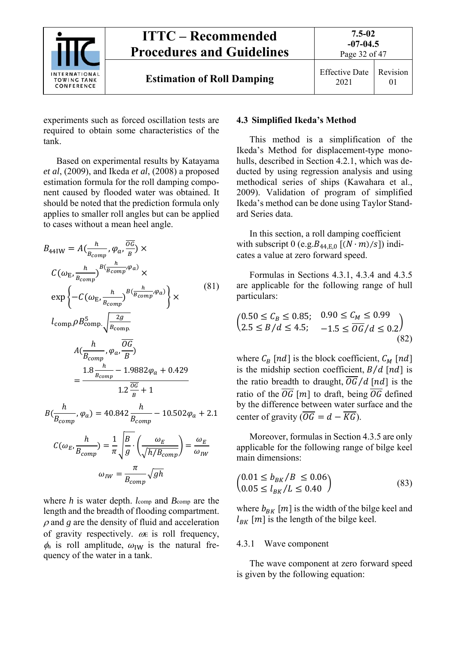

experiments such as forced oscillation tests are required to obtain some characteristics of the tank.

Based on experimental results by Katayama *et al*, (2009), and Ikeda *et al*, (2008) a proposed estimation formula for the roll damping component caused by flooded water was obtained. It should be noted that the prediction formula only applies to smaller roll angles but can be applied to cases without a mean heel angle.

$$
B_{44\text{IW}} = A\left(\frac{h}{B_{comp}}, \varphi_a, \frac{\overline{OG}}{B}\right) \times
$$
  
\n
$$
C(\omega_{\text{E}}, \frac{h}{B_{comp}})^{B\left(\frac{h}{B_{comp}}, \varphi_a\right)} \times
$$
  
\n
$$
\exp\left\{-C\left(\omega_{\text{E}}, \frac{h}{B_{comp}}\right)^{B\left(\frac{h}{B_{comp}}, \varphi_a\right)}\right\} \times
$$
  
\n
$$
l_{comp} \rho B_{comp}^5 \sqrt{\frac{2g}{B_{comp}}}
$$
  
\n
$$
A\left(\frac{h}{B_{comp}}, \varphi_a, \frac{\overline{OG}}{B}\right)
$$
  
\n
$$
= \frac{1.8 \frac{h}{B_{comp}} - 1.9882 \varphi_a + 0.429}{1.2 \frac{\overline{OG}}{B} + 1}
$$
  
\n(81)

$$
B\left(\frac{h}{B_{comp}}, \varphi_a\right) = 40.842 \frac{h}{B_{comp}} - 10.502 \varphi_a + 2.1
$$

$$
C(\omega_E, \frac{h}{B_{comp}}) = \frac{1}{\pi} \sqrt{\frac{B}{g}} \cdot \left(\frac{\omega_E}{\sqrt{h/B_{comp}}}\right) = \frac{\omega_E}{\omega_{IW}}
$$

$$
\omega_{IW} = \frac{\pi}{B_{comp}} \sqrt{gh}
$$

where *h* is water depth.  $l_{\text{comp}}$  and  $B_{\text{comp}}$  are the length and the breadth of flooding compartment.  $\rho$  and  $g$  are the density of fluid and acceleration of gravity respectively.  $\omega$  is roll frequency,  $\phi_a$  is roll amplitude,  $\omega_{\text{IW}}$  is the natural frequency of the water in a tank.

#### **4.3 Simplified Ikeda's Method**

This method is a simplification of the Ikeda's Method for displacement-type monohulls, described in Section 4.2.1, which was deducted by using regression analysis and using methodical series of ships (Kawahara et al., 2009). Validation of program of simplified Ikeda's method can be done using Taylor Standard Series data.

In this section, a roll damping coefficient with subscript 0 (e.g.  $B_{44,E,0}$  [ $(N \cdot m)/s$ ]) indicates a value at zero forward speed.

Formulas in Sections 4.3.1, 4.3.4 and 4.3.5 are applicable for the following range of hull particulars:

$$
\begin{pmatrix} 0.50 \le C_B \le 0.85; & 0.90 \le C_M \le 0.99 \\ 2.5 \le B/d \le 4.5; & -1.5 \le \overline{OG}/d \le 0.2 \end{pmatrix}
$$
\n(82)

where  $C_B$  [nd] is the block coefficient,  $C_M$  [nd] is the midship section coefficient,  $B/d$  [nd] is the ratio breadth to draught,  $\overline{OG}/d$  [nd] is the ratio of the  $\overline{OG}$  [*m*] to draft, being  $\overline{OG}$  defined by the difference between water surface and the center of gravity  $\overline{OG} = d - \overline{KG}$ ).

Moreover, formulas in Section 4.3.5 are only applicable for the following range of bilge keel main dimensions:

$$
\begin{aligned}\n\left(0.01 \le b_{BK}/B \le 0.06\right) & (83) \\
0.05 \le l_{BK}/L \le 0.40\n\end{aligned}
$$

where  $b_{BK}$  [m] is the width of the bilge keel and  $l_{BK}$  [*m*] is the length of the bilge keel.

#### 4.3.1 Wave component

The wave component at zero forward speed is given by the following equation: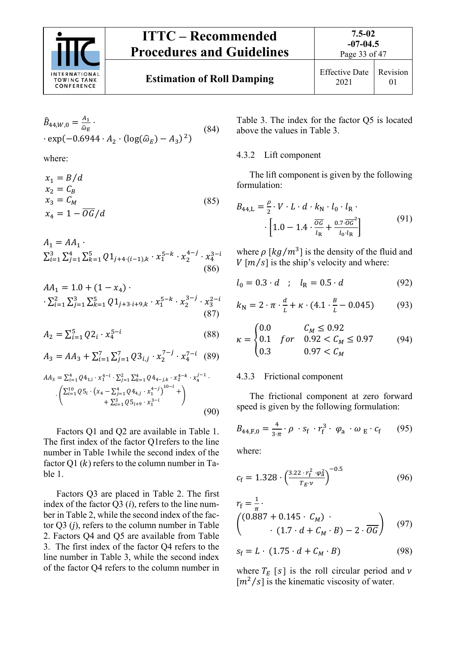

Page 33 of 47

$$
\hat{B}_{44,W,0} = \frac{A_1}{\hat{\omega}_E} \cdot \exp(-0.6944 \cdot A_2 \cdot (\log(\hat{\omega}_E) - A_3)^2)
$$
\n(84)

where:

$$
x_1 = B/d
$$
  
\n
$$
x_2 = C_B
$$
  
\n
$$
x_3 = C_M
$$
  
\n
$$
x_4 = 1 - \overline{OG}/d
$$
\n(85)

$$
A_1 = AA_1 \cdot \n\sum_{i=1}^{3} \sum_{j=1}^{4} \sum_{k=1}^{5} Q1_{j+4 \cdot (i-1),k} \cdot x_1^{5-k} \cdot x_2^{4-j} \cdot x_4^{3-i}
$$
\n(86)

ଵ ൌ 1.0 ሺ1 െ ସሻ ⋅ ⋅ ∑∑∑ 1ାଷ⋅ାଽ, ⋅ ଵ ହି ⋅ ଶ ଷି ⋅ ଷ ହ ଶି ୀଵ ଷ ୀଵ ଶ ୀଵ (87)

$$
A_2 = \sum_{i=1}^{5} Q_2^i \cdot x_4^{5-i} \tag{88}
$$

$$
A_3 = AA_3 + \sum_{i=1}^{7} \sum_{j=1}^{7} Q3_{i,j} \cdot x_2^{7-j} \cdot x_4^{7-i} \quad (89)
$$

$$
AA_3 = \sum_{i=1}^4 Q4_{1,i} \cdot x_1^{4-i} \cdot \sum_{j=1}^2 \sum_{k=1}^4 Q4_{4-j,k} \cdot x_2^{4-k} \cdot x_4^{j-1} \cdot \left( \sum_{i=1}^{10} Q5_i \cdot (x_4 - \sum_{j=1}^4 Q4_{4,j} \cdot x_1^{4-j})^{10-i} + \sum_{i=1}^3 Q5_{i+9} \cdot x_1^{3-i} \right)
$$
\n
$$
(90)
$$

Factors Q1 and Q2 are available in Table 1. The first index of the factor Q1refers to the line number in Table 1while the second index of the factor Q1  $(k)$  refers to the column number in Table 1.

Factors Q3 are placed in Table 2. The first index of the factor Q3 (*i*), refers to the line number in Table 2, while the second index of the factor Q3 (*j*), refers to the column number in Table 2. Factors Q4 and Q5 are available from Table 3. The first index of the factor Q4 refers to the line number in Table 3, while the second index of the factor Q4 refers to the column number in

Table 3. The index for the factor Q5 is located above the values in Table 3.

#### 4.3.2 Lift component

The lift component is given by the following formulation:

$$
B_{44,L} = \frac{\rho}{2} \cdot V \cdot L \cdot d \cdot k_{\rm N} \cdot l_0 \cdot l_{\rm R} \cdot \left[1.0 - 1.4 \cdot \frac{\overline{o}G}{l_{\rm R}} + \frac{0.7 \cdot \overline{o}G^2}{l_0 \cdot l_{\rm R}}\right]
$$
(91)

where  $\rho \left[ \frac{kg}{m^3} \right]$  is the density of the fluid and  $V$  [ $m/s$ ] is the ship's velocity and where:

$$
l_0 = 0.3 \cdot d \quad ; \quad l_R = 0.5 \cdot d \tag{92}
$$

$$
k_{\rm N} = 2 \cdot \pi \cdot \frac{d}{L} + \kappa \cdot (4.1 \cdot \frac{B}{L} - 0.045) \tag{93}
$$

$$
\kappa = \begin{cases} 0.0 & C_M \le 0.92 \\ 0.1 & \text{for} \quad 0.92 < C_M \le 0.97 \\ 0.3 & 0.97 < C_M \end{cases} \tag{94}
$$

#### 4.3.3 Frictional component

The frictional component at zero forward speed is given by the following formulation:

$$
B_{44,F,0} = \frac{4}{3\cdot\pi} \cdot \rho \cdot s_f \cdot r_f^3 \cdot \varphi_a \cdot \omega_E \cdot c_f \qquad (95)
$$

where:

$$
c_{\rm f} = 1.328 \cdot \left(\frac{3.22 \cdot r_{\rm f}^2 \cdot \varphi_{\rm a}^2}{T_{\rm f} \cdot \nu}\right)^{-0.5} \tag{96}
$$

$$
r_{\rm f} = \frac{1}{\pi} \cdot \left( (0.887 + 0.145 \cdot C_M) \cdot \right) \cdot (1.7 \cdot d + C_M \cdot B) - 2 \cdot \overline{OG} \right) \tag{97}
$$

$$
s_{\rm f} = L \cdot (1.75 \cdot d + C_M \cdot B) \tag{98}
$$

where  $T_E$  [s] is the roll circular period and  $\nu$  $[m^2/s]$  is the kinematic viscosity of water.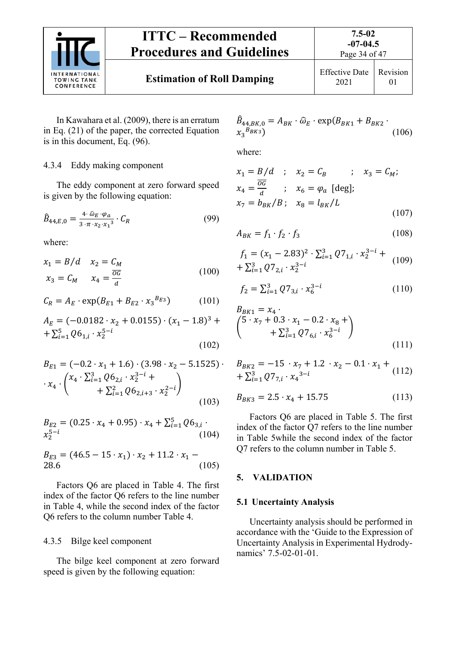

In Kawahara et al. (2009), there is an erratum in Eq. (21) of the paper, the corrected Equation is in this document, Eq. (96).

#### 4.3.4 Eddy making component

The eddy component at zero forward speed is given by the following equation:

$$
\hat{B}_{44,E,0} = \frac{4 \cdot \hat{\omega}_E \cdot \varphi_a}{3 \cdot \pi \cdot x_2 \cdot x_1^3} \cdot C_R \tag{99}
$$

where:

$$
x_1 = B/d \t x_2 = C_M
$$
  

$$
x_3 = C_M \t x_4 = \frac{\overline{OC}}{d}
$$
 (100)

$$
C_R = A_E \cdot \exp(B_{E1} + B_{E2} \cdot x_3^{B_{E3}})
$$
 (101)

$$
A_E = (-0.0182 \cdot x_2 + 0.0155) \cdot (x_1 - 1.8)^3 +
$$
  
+ 
$$
\sum_{i=1}^{5} Q6_{1,i} \cdot x_2^{5-i}
$$
 (102)

$$
B_{E1} = (-0.2 \cdot x_1 + 1.6) \cdot (3.98 \cdot x_2 - 5.1525) \cdot \cdot \cdot x_4 \cdot {x_4 \cdot \sum_{i=1}^{3} Q6_{2,i} \cdot x_2^{3-i} + \sum_{i=1}^{2} Q6_{2,i+3} \cdot x_2^{2-i}}
$$
\n(103)

$$
B_{E2} = (0.25 \cdot x_4 + 0.95) \cdot x_4 + \sum_{i=1}^{5} Q6_{3,i} \cdot x_2^{5-i}
$$
\n(104)

$$
B_{E3} = (46.5 - 15 \cdot x_1) \cdot x_2 + 11.2 \cdot x_1 - 28.6 \tag{105}
$$

Factors Q6 are placed in Table 4. The first index of the factor Q6 refers to the line number in Table 4, while the second index of the factor Q6 refers to the column number Table 4.

#### 4.3.5 Bilge keel component

The bilge keel component at zero forward speed is given by the following equation:

$$
\hat{B}_{44,BK,0} = A_{BK} \cdot \hat{\omega}_E \cdot \exp(B_{BK1} + B_{BK2} \cdot \mathbf{X}_3^{BBK3})
$$
\n(106)

where:

$$
x_1 = B/d \quad ; \quad x_2 = C_B \quad ; \quad x_3 = C_M;
$$
  
\n
$$
x_4 = \frac{\overline{oc}}{d} \quad ; \quad x_6 = \varphi_a \text{ [deg]};
$$
  
\n
$$
x_7 = b_{BK}/B \quad ; \quad x_8 = l_{BK}/L \tag{107}
$$

$$
A_{BK} = f_1 \cdot f_2 \cdot f_3 \tag{108}
$$

$$
f_1 = (x_1 - 2.83)^2 \cdot \sum_{i=1}^3 Q 7_{1,i} \cdot x_2^{3-i} + \sum_{i=1}^3 Q 7_{2,i} \cdot x_2^{3-i}
$$
 (109)

$$
f_2 = \sum_{i=1}^{3} Q7_{3,i} \cdot x_6^{3-i}
$$
 (110)

$$
B_{BK1} = x_4
$$
  
\n
$$
\begin{pmatrix}\n5 \cdot x_7 + 0.3 \cdot x_1 - 0.2 \cdot x_8 + \\
+ \sum_{i=1}^3 Q 7_{6,i} \cdot x_6^{3-i}\n\end{pmatrix}
$$
\n(111)

$$
B_{BK2} = -15 \cdot x_7 + 1.2 \cdot x_2 - 0.1 \cdot x_1 ++ \sum_{i=1}^{3} Q7_{7,i} \cdot x_4^{3-i}
$$
 (112)

$$
B_{BK3} = 2.5 \cdot x_4 + 15.75 \tag{113}
$$

Factors Q6 are placed in Table 5. The first index of the factor Q7 refers to the line number in Table 5while the second index of the factor Q7 refers to the column number in Table 5.

#### **5. VALIDATION**

#### **5.1 Uncertainty Analysis**

Uncertainty analysis should be performed in accordance with the 'Guide to the Expression of Uncertainty Analysis in Experimental Hydrodynamics' 7.5-02-01-01.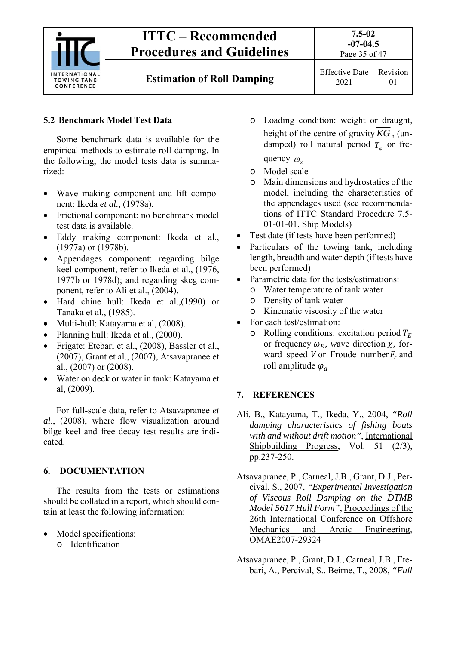

## **5.2 Benchmark Model Test Data**

Some benchmark data is available for the empirical methods to estimate roll damping. In the following, the model tests data is summarized:

- Wave making component and lift component: Ikeda *et al.,* (1978a).
- Frictional component: no benchmark model test data is available.
- Eddy making component: Ikeda et al., (1977a) or (1978b).
- Appendages component: regarding bilge keel component, refer to Ikeda et al., (1976, 1977b or 1978d); and regarding skeg component, refer to Ali et al., (2004).
- Hard chine hull: Ikeda et al.,(1990) or Tanaka et al., (1985).
- Multi-hull: Katayama et al, (2008).
- Planning hull: Ikeda et al., (2000).
- Frigate: Etebari et al., (2008), Bassler et al., (2007), Grant et al., (2007), Atsavapranee et al., (2007) or (2008).
- Water on deck or water in tank: Katayama et al, (2009).

For full-scale data, refer to Atsavapranee *et al*., (2008), where flow visualization around bilge keel and free decay test results are indicated.

## **6. DOCUMENTATION**

The results from the tests or estimations should be collated in a report, which should contain at least the following information:

- Model specifications:
	- o Identification
- o Loading condition: weight or draught, height of the centre of gravity *KG* , (undamped) roll natural period  $T_{\varphi}$  or frequency  $\omega$ <sub>x</sub>
- o Model scale
- o Main dimensions and hydrostatics of the model, including the characteristics of the appendages used (see recommendations of ITTC Standard Procedure 7.5- 01-01-01, Ship Models)
- Test date (if tests have been performed)
- Particulars of the towing tank, including length, breadth and water depth (if tests have been performed)
- Parametric data for the tests/estimations:
	- o Water temperature of tank water
	- o Density of tank water
	- o Kinematic viscosity of the water
- For each test/estimation:
	- o Rolling conditions: excitation period  $T_F$ or frequency  $\omega_E$ , wave direction  $\chi$ , forward speed V or Froude number  $F_r$  and roll amplitude  $\varphi_a$

## **7. REFERENCES**

- Ali, B., Katayama, T., Ikeda, Y., 2004, *"Roll damping characteristics of fishing boats with and without drift motion"*, International Shipbuilding Progress, Vol. 51 (2/3), pp.237-250.
- Atsavapranee, P., Carneal, J.B., Grant, D.J., Percival, S., 2007, *"Experimental Investigation of Viscous Roll Damping on the DTMB Model 5617 Hull Form"*, Proceedings of the 26th International Conference on Offshore Mechanics and Arctic Engineering, OMAE2007-29324
- Atsavapranee, P., Grant, D.J., Carneal, J.B., Etebari, A., Percival, S., Beirne, T., 2008, *"Full*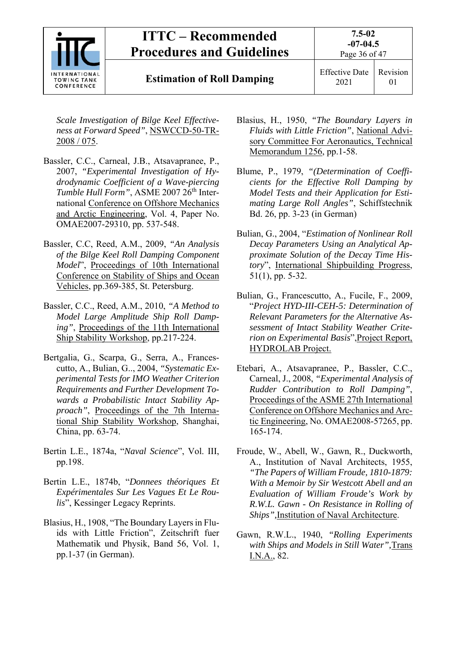

*Scale Investigation of Bilge Keel Effectiveness at Forward Speed"*, NSWCCD-50-TR-2008 / 075.

- Bassler, C.C., Carneal, J.B., Atsavapranee, P., 2007, *"Experimental Investigation of Hydrodynamic Coefficient of a Wave-piercing Tumble Hull Form"*, ASME 2007 26<sup>th</sup> International Conference on Offshore Mechanics and Arctic Engineering, Vol. 4, Paper No. OMAE2007-29310, pp. 537-548.
- Bassler, C.C, Reed, A.M., 2009, *"An Analysis of the Bilge Keel Roll Damping Component Model*", Proceedings of 10th International Conference on Stability of Ships and Ocean Vehicles, pp.369-385, St. Petersburg.
- Bassler, C.C., Reed, A.M., 2010, *"A Method to Model Large Amplitude Ship Roll Damping"*, Proceedings of the 11th International Ship Stability Workshop, pp.217-224.
- Bertgalia, G., Scarpa, G., Serra, A., Francescutto, A., Bulian, G.., 2004, *"Systematic Experimental Tests for IMO Weather Criterion Requirements and Further Development Towards a Probabilistic Intact Stability Ap*proach", Proceedings of the 7th International Ship Stability Workshop, Shanghai, China, pp. 63-74.
- Bertin L.E., 1874a, "*Naval Science*", Vol. III, pp.198.
- Bertin L.E., 1874b, "*Donnees théoriques Et Expérimentales Sur Les Vagues Et Le Roulis*", Kessinger Legacy Reprints.
- Blasius, H., 1908, "The Boundary Layers in Fluids with Little Friction", Zeitschrift fuer Mathematik und Physik, Band 56, Vol. 1, pp.1-37 (in German).
- Blasius, H., 1950, *"The Boundary Layers in Fluids with Little Friction"*, National Advisory Committee For Aeronautics, Technical Memorandum 1256, pp.1-58.
- Blume, P., 1979, *"(Determination of Coefficients for the Effective Roll Damping by Model Tests and their Application for Estimating Large Roll Angles"*, Schiffstechnik Bd. 26, pp. 3-23 (in German)
- Bulian, G., 2004, "*Estimation of Nonlinear Roll Decay Parameters Using an Analytical Approximate Solution of the Decay Time History*", International Shipbuilding Progress, 51(1), pp. 5-32.
- Bulian, G., Francescutto, A., Fucile, F., 2009, "*Project HYD-III-CEH-5: Determination of Relevant Parameters for the Alternative Assessment of Intact Stability Weather Criterion on Experimental Basis*",Project Report, HYDROLAB Project.
- Etebari, A., Atsavapranee, P., Bassler, C.C., Carneal, J., 2008, *"Experimental Analysis of Rudder Contribution to Roll Damping"*, Proceedings of the ASME 27th International Conference on Offshore Mechanics and Arctic Engineering, No. OMAE2008-57265, pp. 165-174.
- Froude, W., Abell, W., Gawn, R., Duckworth, A., Institution of Naval Architects, 1955, *"The Papers of William Froude, 1810-1879: With a Memoir by Sir Westcott Abell and an Evaluation of William Froude's Work by R.W.L. Gawn - On Resistance in Rolling of Ships",*Institution of Naval Architecture.
- Gawn, R.W.L., 1940, *"Rolling Experiments with Ships and Models in Still Water",*Trans I.N.A., 82.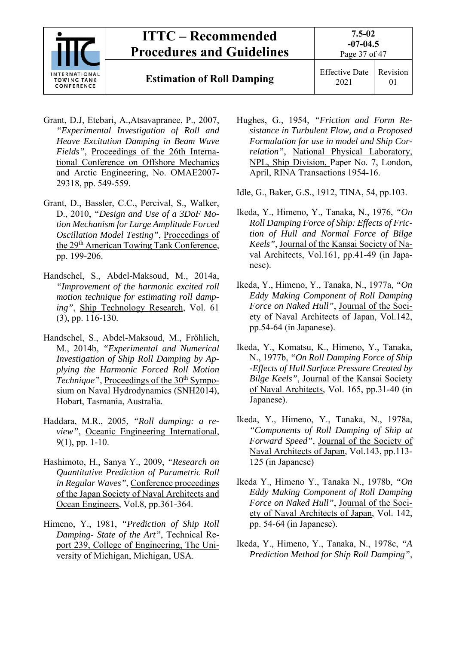

**Estimation of Roll Damping** Effective Date

- Grant, D.J, Etebari, A.,Atsavapranee, P., 2007, *"Experimental Investigation of Roll and Heave Excitation Damping in Beam Wave Fields"*, Proceedings of the 26th International Conference on Offshore Mechanics and Arctic Engineering, No. OMAE2007- 29318, pp. 549-559.
- Grant, D., Bassler, C.C., Percival, S., Walker, D., 2010, *"Design and Use of a 3DoF Motion Mechanism for Large Amplitude Forced Oscillation Model Testing"*, Proceedings of the 29<sup>th</sup> American Towing Tank Conference, pp. 199-206.
- Handschel, S., Abdel-Maksoud, M., 2014a, *"Improvement of the harmonic excited roll motion technique for estimating roll damping"*, Ship Technology Research, Vol. 61 (3), pp. 116-130.
- Handschel, S., Abdel-Maksoud, M., Fröhlich, M., 2014b, *"Experimental and Numerical Investigation of Ship Roll Damping by Applying the Harmonic Forced Roll Motion Technique"*, Proceedings of the 30<sup>th</sup> Symposium on Naval Hydrodynamics (SNH2014), Hobart, Tasmania, Australia.
- Haddara, M.R., 2005, *"Roll damping: a review"*, Oceanic Engineering International, 9(1), pp. 1-10.
- Hashimoto, H., Sanya Y., 2009, *"Research on Quantitative Prediction of Parametric Roll in Regular Waves"*, Conference proceedings of the Japan Society of Naval Architects and Ocean Engineers, Vol.8, pp.361-364.
- Himeno, Y., 1981, *"Prediction of Ship Roll Damping- State of the Art"*, Technical Report 239, College of Engineering, The University of Michigan, Michigan, USA.
- Hughes, G., 1954, *"Friction and Form Resistance in Turbulent Flow, and a Proposed Formulation for use in model and Ship Correlation"*, National Physical Laboratory, NPL, Ship Division, Paper No. 7, London, April, RINA Transactions 1954-16.
- Idle, G., Baker, G.S., 1912, TINA, 54, pp.103.
- Ikeda, Y., Himeno, Y., Tanaka, N., 1976, *"On Roll Damping Force of Ship: Effects of Friction of Hull and Normal Force of Bilge Keels"*, Journal of the Kansai Society of Naval Architects, Vol.161, pp.41-49 (in Japanese).
- Ikeda, Y., Himeno, Y., Tanaka, N., 1977a, *"On Eddy Making Component of Roll Damping Force on Naked Hull"*, Journal of the Society of Naval Architects of Japan, Vol.142, pp.54-64 (in Japanese).
- Ikeda, Y., Komatsu, K., Himeno, Y., Tanaka, N., 1977b, *"On Roll Damping Force of Ship -Effects of Hull Surface Pressure Created by Bilge Keels"*, Journal of the Kansai Society of Naval Architects, Vol. 165, pp.31-40 (in Japanese).
- Ikeda, Y., Himeno, Y., Tanaka, N., 1978a, *"Components of Roll Damping of Ship at Forward Speed"*, Journal of the Society of Naval Architects of Japan, Vol.143, pp.113- 125 (in Japanese)
- Ikeda Y., Himeno Y., Tanaka N., 1978b, *"On Eddy Making Component of Roll Damping Force on Naked Hull"*, Journal of the Society of Naval Architects of Japan, Vol. 142, pp. 54-64 (in Japanese).
- Ikeda, Y., Himeno, Y., Tanaka, N., 1978c, *"A Prediction Method for Ship Roll Damping"*,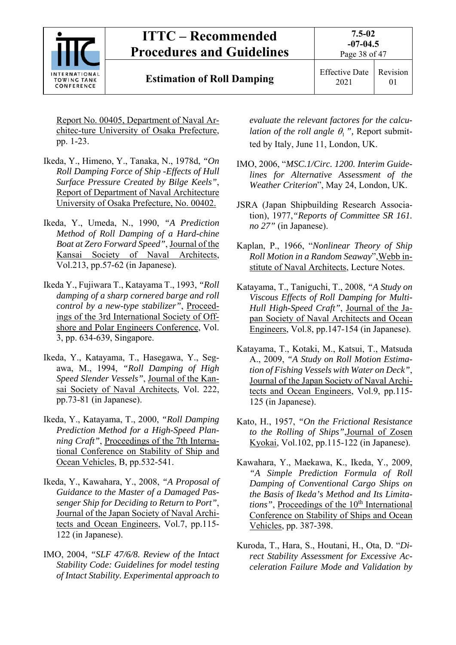

**Estimation of Roll Damping** Effective Date

Report No. 00405, Department of Naval Architec-ture University of Osaka Prefecture, pp. 1-23.

- Ikeda, Y., Himeno, Y., Tanaka, N., 1978d, *"On Roll Damping Force of Ship -Effects of Hull Surface Pressure Created by Bilge Keels"*, Report of Department of Naval Architecture University of Osaka Prefecture, No. 00402.
- Ikeda, Y., Umeda, N., 1990, *"A Prediction Method of Roll Damping of a Hard-chine Boat at Zero Forward Speed"*, Journal of the Kansai Society of Naval Architects, Vol.213, pp.57-62 (in Japanese).
- Ikeda Y., Fujiwara T., Katayama T., 1993, *"Roll damping of a sharp cornered barge and roll control by a new-type stabilizer"*, Proceedings of the 3rd International Society of Offshore and Polar Engineers Conference, Vol. 3, pp. 634-639, Singapore.
- Ikeda, Y., Katayama, T., Hasegawa, Y., Segawa, M., 1994, *"Roll Damping of High Speed Slender Vessels"*, Journal of the Kansai Society of Naval Architects, Vol. 222, pp.73-81 (in Japanese).
- Ikeda, Y., Katayama, T., 2000, *"Roll Damping Prediction Method for a High-Speed Planning Craft"*, Proceedings of the 7th International Conference on Stability of Ship and Ocean Vehicles, B, pp.532-541.
- Ikeda, Y., Kawahara, Y., 2008, *"A Proposal of Guidance to the Master of a Damaged Passenger Ship for Deciding to Return to Port"*, Journal of the Japan Society of Naval Architects and Ocean Engineers, Vol.7, pp.115- 122 (in Japanese).
- IMO, 2004, *"SLF 47/6/8. Review of the Intact Stability Code: Guidelines for model testing of Intact Stability. Experimental approach to*

*evaluate the relevant factores for the calculation of the roll angle*  $\theta_1$ *", Report submit*ted by Italy, June 11, London, UK.

- IMO, 2006, "*MSC.1/Circ. 1200. Interim Guidelines for Alternative Assessment of the Weather Criterion*", May 24, London, UK.
- JSRA (Japan Shipbuilding Research Association), 1977,*"Reports of Committee SR 161. no 27"* (in Japanese).
- Kaplan, P., 1966, "*Nonlinear Theory of Ship Roll Motion in a Random Seaway*",Webb institute of Naval Architects, Lecture Notes.
- Katayama, T., Taniguchi, T., 2008, *"A Study on Viscous Effects of Roll Damping for Multi-Hull High-Speed Craft"*, Journal of the Japan Society of Naval Architects and Ocean Engineers, Vol.8, pp.147-154 (in Japanese).
- Katayama, T., Kotaki, M., Katsui, T., Matsuda A., 2009, *"A Study on Roll Motion Estimation of Fishing Vessels with Water on Deck"*, Journal of the Japan Society of Naval Architects and Ocean Engineers, Vol.9, pp.115- 125 (in Japanese).
- Kato, H., 1957, *"On the Frictional Resistance to the Rolling of Ships"*,Journal of Zosen Kyokai, Vol.102, pp.115-122 (in Japanese).
- Kawahara, Y., Maekawa, K., Ikeda, Y., 2009, *"A Simple Prediction Formula of Roll Damping of Conventional Cargo Ships on the Basis of Ikeda's Method and Its Limitations"*, Proceedings of the 10<sup>th</sup> International Conference on Stability of Ships and Ocean Vehicles, pp. 387-398.
- Kuroda, T., Hara, S., Houtani, H., Ota, D. "*Direct Stability Assessment for Excessive Acceleration Failure Mode and Validation by*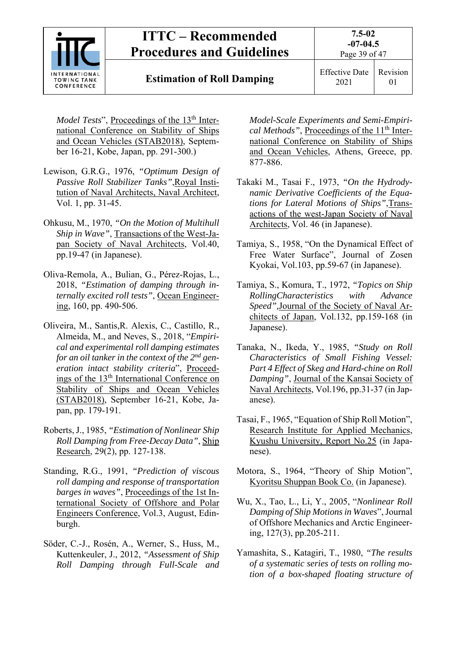

## **Estimation of Roll Damping** Effective Date

*Model Tests*", Proceedings of the 13<sup>th</sup> International Conference on Stability of Ships and Ocean Vehicles (STAB2018), September 16-21, Kobe, Japan, pp. 291-300.)

- Lewison, G.R.G., 1976, *"Optimum Design of Passive Roll Stabilizer Tanks"*,Royal Institution of Naval Architects, Naval Architect, Vol. 1, pp. 31-45.
- Ohkusu, M., 1970, *"On the Motion of Multihull Ship in Wave"*, Transactions of the West-Japan Society of Naval Architects, Vol.40, pp.19-47 (in Japanese).
- Oliva-Remola, A., Bulian, G., Pérez-Rojas, L., 2018, *"Estimation of damping through internally excited roll tests"*, Ocean Engineering, 160, pp. 490-506.
- Oliveira, M., Santis,R. Alexis, C., Castillo, R., Almeida, M., and Neves, S., 2018, "*Empirical and experimental roll damping estimates for an oil tanker in the context of the 2nd generation intact stability criteria*", Proceedings of the 13<sup>th</sup> International Conference on Stability of Ships and Ocean Vehicles (STAB2018), September 16-21, Kobe, Japan, pp. 179-191.
- Roberts, J., 1985, *"Estimation of Nonlinear Ship Roll Damping from Free-Decay Data"*, Ship Research, 29(2), pp. 127-138.
- Standing, R.G., 1991, *"Prediction of viscous roll damping and response of transportation barges in waves"*, Proceedings of the 1st International Society of Offshore and Polar Engineers Conference, Vol.3, August, Edinburgh.
- Söder, C.-J., Rosén, A., Werner, S., Huss, M., Kuttenkeuler, J., 2012, *"Assessment of Ship Roll Damping through Full-Scale and*

*Model-Scale Experiments and Semi-Empirical Methods"*, Proceedings of the 11<sup>th</sup> International Conference on Stability of Ships and Ocean Vehicles, Athens, Greece, pp. 877-886.

- Takaki M., Tasai F., 1973, *"On the Hydrodynamic Derivative Coefficients of the Equations for Lateral Motions of Ships"*,Transactions of the west-Japan Society of Naval Architects, Vol. 46 (in Japanese).
- Tamiya, S., 1958, "On the Dynamical Effect of Free Water Surface", Journal of Zosen Kyokai, Vol.103, pp.59-67 (in Japanese).
- Tamiya, S., Komura, T., 1972, *"Topics on Ship RollingCharacteristics with Advance Speed",*Journal of the Society of Naval Architects of Japan, Vol.132, pp.159-168 (in Japanese).
- Tanaka, N., Ikeda, Y., 1985, *"Study on Roll Characteristics of Small Fishing Vessel: Part 4 Effect of Skeg and Hard-chine on Roll Damping"*, Journal of the Kansai Society of Naval Architects, Vol.196, pp.31-37 (in Japanese).
- Tasai, F., 1965, "Equation of Ship Roll Motion", Research Institute for Applied Mechanics, Kyushu University, Report No.25 (in Japanese).
- Motora, S., 1964, "Theory of Ship Motion", Kyoritsu Shuppan Book Co. (in Japanese).
- Wu, X., Tao, L., Li, Y., 2005, "*Nonlinear Roll Damping of Ship Motions in Waves*", Journal of Offshore Mechanics and Arctic Engineering, 127(3), pp.205-211.
- Yamashita, S., Katagiri, T., 1980, *"The results of a systematic series of tests on rolling motion of a box-shaped floating structure of*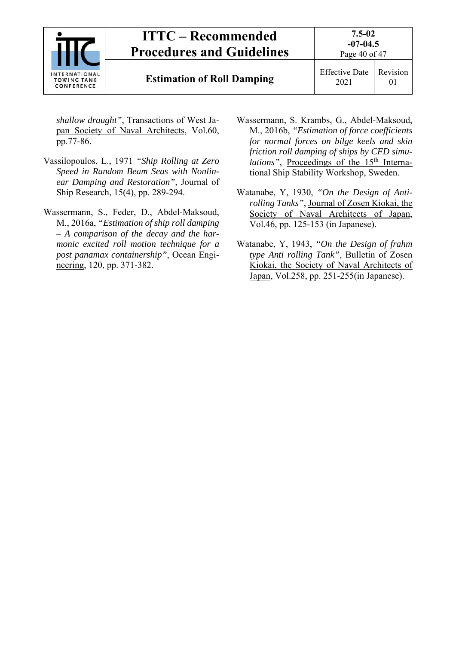

*shallow draught"*, Transactions of West Japan Society of Naval Architects, Vol.60, pp.77-86.

- Vassilopoulos, L., 1971 *"Ship Rolling at Zero Speed in Random Beam Seas with Nonlinear Damping and Restoration"*, Journal of Ship Research, 15(4), pp. 289-294.
- Wassermann, S., Feder, D., Abdel-Maksoud, M., 2016a, *"Estimation of ship roll damping – A comparison of the decay and the harmonic excited roll motion technique for a post panamax containership"*, Ocean Engineering, 120, pp. 371-382.
- Wassermann, S. Krambs, G., Abdel-Maksoud, M., 2016b, *"Estimation of force coefficients for normal forces on bilge keels and skin friction roll damping of ships by CFD simulations"*, Proceedings of the 15<sup>th</sup> International Ship Stability Workshop, Sweden.
- Watanabe, Y, 1930, *"On the Design of Antirolling Tanks"*, Journal of Zosen Kiokai, the Society of Naval Architects of Japan, Vol.46, pp. 125-153 (in Japanese).
- Watanabe, Y, 1943, *"On the Design of frahm type Anti rolling Tank"*, Bulletin of Zosen Kiokai, the Society of Naval Architects of Japan, Vol.258, pp. 251-255(in Japanese).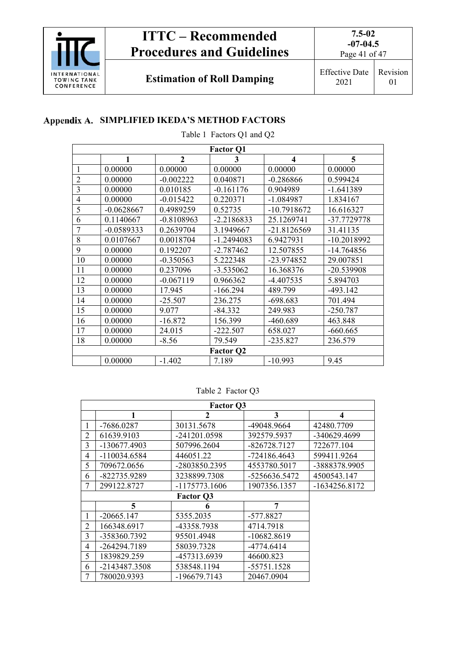

Page 41 of 47

**Estimation of Roll Damping** Effective Date

2021

Revision 01

## **Appendix A. SIMPLIFIED IKEDA'S METHOD FACTORS**

Table 1 Factors Q1 and Q2

| <b>Factor Q1</b> |              |                |                  |                         |               |
|------------------|--------------|----------------|------------------|-------------------------|---------------|
|                  | $\mathbf{1}$ | $\overline{2}$ | 3                | $\overline{\mathbf{4}}$ | 5             |
| 1                | 0.00000      | 0.00000        | 0.00000          | 0.00000                 | 0.00000       |
| $\overline{2}$   | 0.00000      | $-0.002222$    | 0.040871         | $-0.286866$             | 0.599424      |
| 3                | 0.00000      | 0.010185       | $-0.161176$      | 0.904989                | $-1.641389$   |
| 4                | 0.00000      | $-0.015422$    | 0.220371         | $-1.084987$             | 1.834167      |
| 5                | $-0.0628667$ | 0.4989259      | 0.52735          | $-10.7918672$           | 16.616327     |
| 6                | 0.1140667    | $-0.8108963$   | $-2.2186833$     | 25.1269741              | -37.7729778   |
| 7                | $-0.0589333$ | 0.2639704      | 3.1949667        | $-21.8126569$           | 31.41135      |
| 8                | 0.0107667    | 0.0018704      | $-1.2494083$     | 6.9427931               | $-10.2018992$ |
| 9                | 0.00000      | 0.192207       | $-2.787462$      | 12.507855               | $-14.764856$  |
| 10               | 0.00000      | $-0.350563$    | 5.222348         | -23.974852              | 29.007851     |
| 11               | 0.00000      | 0.237096       | $-3.535062$      | 16.368376               | -20.539908    |
| 12               | 0.00000      | $-0.067119$    | 0.966362         | $-4.407535$             | 5.894703      |
| 13               | 0.00000      | 17.945         | $-166.294$       | 489.799                 | $-493.142$    |
| 14               | 0.00000      | $-25.507$      | 236.275          | $-698.683$              | 701.494       |
| 15               | 0.00000      | 9.077          | $-84.332$        | 249.983                 | $-250.787$    |
| 16               | 0.00000      | $-16.872$      | 156.399          | $-460.689$              | 463.848       |
| 17               | 0.00000      | 24.015         | $-222.507$       | 658.027                 | $-660.665$    |
| 18               | 0.00000      | $-8.56$        | 79.549           | $-235.827$              | 236.579       |
|                  |              |                | <b>Factor Q2</b> |                         |               |
|                  | 0.00000      | $-1.402$       | 7.189            | $-10.993$               | 9.45          |

## Table 2 Factor Q3

|                | <b>Factor Q3</b> |                  |               |                 |  |  |
|----------------|------------------|------------------|---------------|-----------------|--|--|
|                | 1                | $\mathbf{2}$     | 3             | 4               |  |  |
| 1              | -7686.0287       | 30131.5678       | -49048.9664   | 42480.7709      |  |  |
| 2              | 61639.9103       | -241201.0598     | 392579.5937   | -340629.4699    |  |  |
| 3              | -130677.4903     | 507996.2604      | -826728.7127  | 722677.104      |  |  |
| 4              | $-110034.6584$   | 446051.22        | -724186.4643  | 599411.9264     |  |  |
| 5              | 709672.0656      | -2803850.2395    | 4553780.5017  | -3888378.9905   |  |  |
| 6              | -822735.9289     | 3238899.7308     | -5256636.5472 | 4500543.147     |  |  |
| 7              | 299122.8727      | $-1175773.1606$  | 1907356.1357  | $-1634256.8172$ |  |  |
|                |                  | <b>Factor Q3</b> |               |                 |  |  |
|                | 5                | 6                | 7             |                 |  |  |
| 1              | $-20665.147$     | 5355.2035        | $-577.8827$   |                 |  |  |
| $\overline{2}$ | 166348.6917      | -43358.7938      | 4714.7918     |                 |  |  |
| 3              | -358360.7392     | 95501.4948       | -10682.8619   |                 |  |  |
| 4              | -264294.7189     | 58039.7328       | -4774.6414    |                 |  |  |
| 5              | 1839829.259      | -457313.6939     | 46600.823     |                 |  |  |
| 6              | -2143487.3508    | 538548.1194      | $-55751.1528$ |                 |  |  |
| 7              | 780020.9393      | -196679.7143     | 20467.0904    |                 |  |  |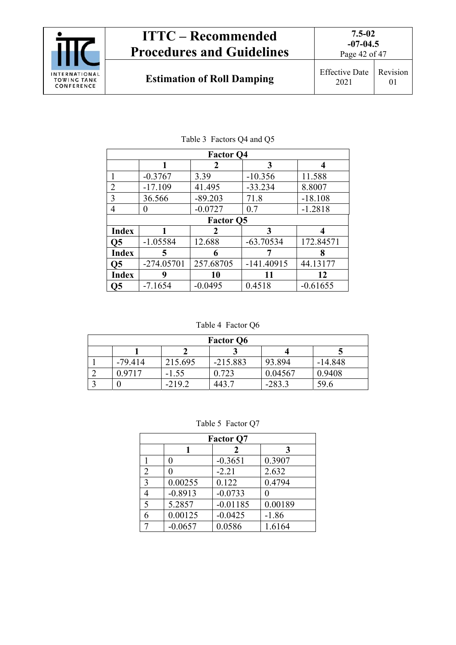

| <b>Factor Q4</b> |              |                  |              |            |
|------------------|--------------|------------------|--------------|------------|
|                  | 1            | 2                | 3            | 4          |
| 1                | $-0.3767$    | 3.39             | $-10.356$    | 11.588     |
| $\overline{2}$   | $-17.109$    | 41.495           | $-33.234$    | 8.8007     |
| 3                | 36.566       | $-89.203$        | 71.8         | $-18.108$  |
| 4                | 0            | $-0.0727$        | 0.7          | $-1.2818$  |
|                  |              | <b>Factor Q5</b> |              |            |
| <b>Index</b>     |              | 2                | 3            | 4          |
| $\overline{Q5}$  | $-1.05584$   | 12.688           | $-63.70534$  | 172.84571  |
| <b>Index</b>     | 5            | 6                |              | 8          |
| $\overline{Q5}$  | $-274.05701$ | 257.68705        | $-141.40915$ | 44.13177   |
| <b>Index</b>     | 9            | 10               | 11           | 12         |
| Ο5               | $-7.1654$    | $-0.0495$        | 0.4518       | $-0.61655$ |

## Table 3 Factors Q4 and Q5

Table 4 Factor Q6

| <b>Factor Q6</b> |           |          |            |          |           |
|------------------|-----------|----------|------------|----------|-----------|
|                  |           |          |            |          |           |
|                  | $-79.414$ | 215.695  | $-215.883$ | 93.894   | $-14.848$ |
|                  | 0.9717    | $-1.55$  | 0.723      | 0.04567  | 0.9408    |
|                  |           | $-219.2$ | 443 7      | $-283.3$ | 59.6      |

#### Table 5 Factor Q7

| <b>Factor Q7</b> |           |            |         |  |
|------------------|-----------|------------|---------|--|
|                  |           | 2          | 3       |  |
|                  |           | $-0.3651$  | 0.3907  |  |
| $\overline{2}$   |           | $-2.21$    | 2.632   |  |
| 3                | 0.00255   | 0.122      | 0.4794  |  |
|                  | $-0.8913$ | $-0.0733$  |         |  |
| 5                | 5.2857    | $-0.01185$ | 0.00189 |  |
|                  | 0.00125   | $-0.0425$  | $-1.86$ |  |
|                  | $-0.0657$ | 0.0586     | 1.6164  |  |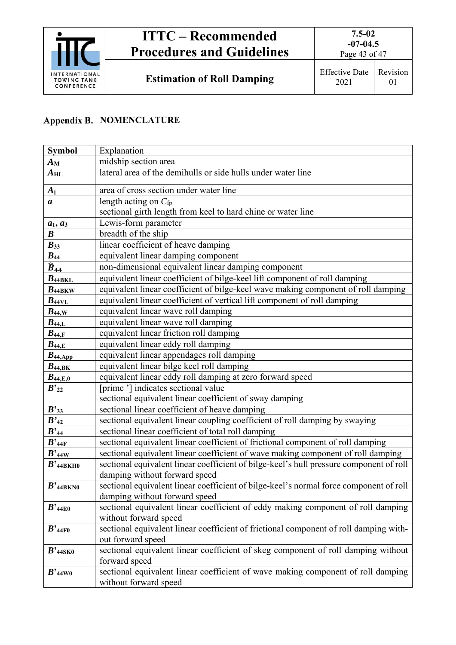

Page 43 of 47

**Estimation of Roll Damping** Effective Date

## **Appendix B. NOMENCLATURE**

| <b>Symbol</b>                     | Explanation                                                                             |  |
|-----------------------------------|-----------------------------------------------------------------------------------------|--|
| $A_{\rm M}$                       | midship section area                                                                    |  |
| $A_{\rm HL}$                      | lateral area of the demihulls or side hulls under water line                            |  |
| $A_i$                             | area of cross section under water line                                                  |  |
| a                                 | length acting on $C_{fp}$                                                               |  |
|                                   | sectional girth length from keel to hard chine or water line                            |  |
| $a_1$ , $a_3$                     | Lewis-form parameter                                                                    |  |
| $\boldsymbol{B}$                  | breadth of the ship                                                                     |  |
| $B_{33}$                          | linear coefficient of heave damping                                                     |  |
| $B_{44}$                          | equivalent linear damping component                                                     |  |
| $\widehat{B}_{44}$                | non-dimensional equivalent linear damping component                                     |  |
| $B_{\rm 44BKL}$                   | equivalent linear coefficient of bilge-keel lift component of roll damping              |  |
| $B_{\rm 44BKW}$                   | equivalent linear coefficient of bilge-keel wave making component of roll damping       |  |
| $B_{\rm 44VL}$                    | equivalent linear coefficient of vertical lift component of roll damping                |  |
| $B_{44,\mathrm{W}}$               | equivalent linear wave roll damping                                                     |  |
| $B_{44,L}$                        | equivalent linear wave roll damping                                                     |  |
| $B_{44,F}$                        | equivalent linear friction roll damping                                                 |  |
| $B_{44,E}$                        | equivalent linear eddy roll damping                                                     |  |
| $B_{44,\mathrm{App}}$             | equivalent linear appendages roll damping                                               |  |
| $B_{44,\mathrm{BK}}$              | equivalent linear bilge keel roll damping                                               |  |
| $B_{44,E,0}$                      | equivalent linear eddy roll damping at zero forward speed                               |  |
| $B^{\prime}{}_{22}$               | [prime '] indicates sectional value                                                     |  |
|                                   | sectional equivalent linear coefficient of sway damping                                 |  |
| $B$ <sup>2</sup> 33               | sectional linear coefficient of heave damping                                           |  |
| $B'_{42}$                         | sectional equivalent linear coupling coefficient of roll damping by swaying             |  |
| $B^{\prime}{}_{44}$               | sectional linear coefficient of total roll damping                                      |  |
| $B$ <sup>2</sup> 44F              | sectional equivalent linear coefficient of frictional component of roll damping         |  |
| $B$ '44W                          | sectional equivalent linear coefficient of wave making component of roll damping        |  |
| $B$ '44BKH0                       | sectional equivalent linear coefficient of bilge-keel's hull pressure component of roll |  |
|                                   | damping without forward speed                                                           |  |
| $B$ '44BKN0                       | sectional equivalent linear coefficient of bilge-keel's normal force component of roll  |  |
|                                   | damping without forward speed                                                           |  |
| $B$ <sup>2</sup> 44E0             | sectional equivalent linear coefficient of eddy making component of roll damping        |  |
|                                   | without forward speed                                                                   |  |
| $B$ <sup>2</sup> 44F <sub>0</sub> | sectional equivalent linear coefficient of frictional component of roll damping with-   |  |
|                                   | out forward speed                                                                       |  |
| $B$ '44SK0                        | sectional equivalent linear coefficient of skeg component of roll damping without       |  |
|                                   | forward speed                                                                           |  |
| $B^{\prime}$ 44W0                 | sectional equivalent linear coefficient of wave making component of roll damping        |  |
|                                   | without forward speed                                                                   |  |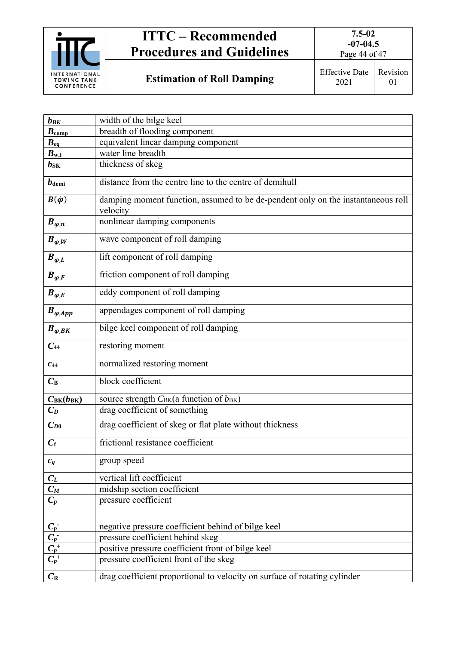

Page 44 of 47

**Estimation of Roll Damping | Effective Date:** 

| fective Date   Revision |          |
|-------------------------|----------|
| 2021                    | $\Omega$ |

| $b_{BK}$                                                                    | width of the bilge keel                                                                      |
|-----------------------------------------------------------------------------|----------------------------------------------------------------------------------------------|
| $B_{\text{comp}}$                                                           | breadth of flooding component                                                                |
| $B_{eq}$                                                                    | equivalent linear damping component                                                          |
| $B_{w_1}$                                                                   | water line breadth                                                                           |
| $\bm{b}_{\rm SK}$                                                           | thickness of skeg                                                                            |
| $b$ <sub>demi</sub>                                                         | distance from the centre line to the centre of demihull                                      |
| $B(\dot{\varphi})$                                                          | damping moment function, assumed to be de-pendent only on the instantaneous roll<br>velocity |
| $B_{\varphi,n}$                                                             | nonlinear damping components                                                                 |
| $B_{\varphi,W}$                                                             | wave component of roll damping                                                               |
| $B_{\varphi,L}$                                                             | lift component of roll damping                                                               |
| $B_{\varphi,F}$                                                             | friction component of roll damping                                                           |
| $B_{\varphi,E}$                                                             | eddy component of roll damping                                                               |
| $B_{\varphi,App}$                                                           | appendages component of roll damping                                                         |
| $B_{\varphi,BK}$                                                            | bilge keel component of roll damping                                                         |
| $C_{44}$                                                                    | restoring moment                                                                             |
| $c_{44}$                                                                    | normalized restoring moment                                                                  |
| $C_{\rm B}$                                                                 | block coefficient                                                                            |
| $C_{BK}(b_{BK})$                                                            | source strength CBK(a function of bBK)                                                       |
| $C_D$                                                                       | drag coefficient of something                                                                |
| $C_{D0}$                                                                    | drag coefficient of skeg or flat plate without thickness                                     |
| $C_{\rm f}$                                                                 | frictional resistance coefficient                                                            |
| $c_{g}$                                                                     | group speed                                                                                  |
| $C_L$                                                                       | vertical lift coefficient                                                                    |
| $C_M$                                                                       | midship section coefficient                                                                  |
| $C_p$                                                                       | pressure coefficient                                                                         |
|                                                                             | negative pressure coefficient behind of bilge keel                                           |
|                                                                             | pressure coefficient behind skeg                                                             |
|                                                                             | positive pressure coefficient front of bilge keel                                            |
| $\frac{\overline{C_p}}{\overline{C_p}^+ \overline{C_p}^+ \overline{C_p}^+}$ | pressure coefficient front of the skeg                                                       |
| $C_{\rm R}$                                                                 | drag coefficient proportional to velocity on surface of rotating cylinder                    |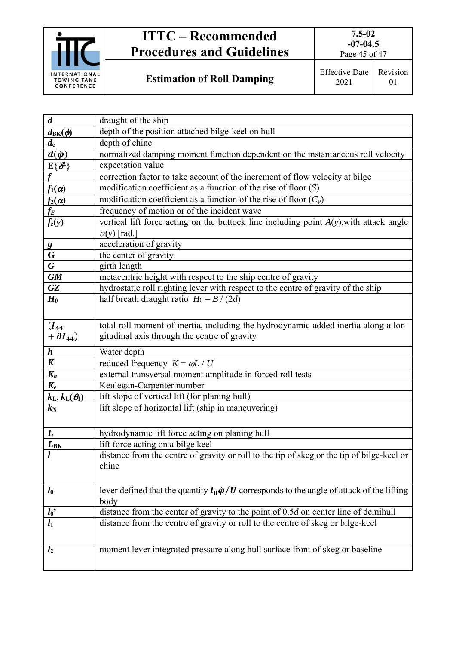

Page 45 of 47

**Estimation of Roll Damping** Effective Date

| $\boldsymbol{d}$                                     | draught of the ship                                                                                       |
|------------------------------------------------------|-----------------------------------------------------------------------------------------------------------|
| $d_{\text{BK}}(\phi)$                                | depth of the position attached bilge-keel on hull                                                         |
| $d_{\rm c}$                                          | depth of chine                                                                                            |
| $d(\dot{\varphi})$                                   | normalized damping moment function dependent on the instantaneous roll velocity                           |
| $E\{\mathcal{S}^2\}$                                 | expectation value                                                                                         |
| $\mathbf{f}$                                         | correction factor to take account of the increment of flow velocity at bilge                              |
| $f_1(\alpha)$                                        | modification coefficient as a function of the rise of floor $(S)$                                         |
| $f_2(\alpha)$                                        | modification coefficient as a function of the rise of floor $(C_p)$                                       |
| $f_E\,$                                              | frequency of motion or of the incident wave                                                               |
| $f_{z}(y)$                                           | vertical lift force acting on the buttock line including point $A(y)$ , with attack angle                 |
|                                                      | $\alpha(y)$ [rad.]                                                                                        |
|                                                      | acceleration of gravity                                                                                   |
| $\frac{g}{G}$                                        | the center of gravity                                                                                     |
| $\overline{G}$                                       | girth length                                                                                              |
| $\overline{GM}$                                      | metacentric height with respect to the ship centre of gravity                                             |
| GZ                                                   | hydrostatic roll righting lever with respect to the centre of gravity of the ship                         |
| $H_0$                                                | half breath draught ratio $H_0 = B / (2d)$                                                                |
|                                                      |                                                                                                           |
| $(I_{44})$                                           | total roll moment of inertia, including the hydrodynamic added inertia along a lon-                       |
| $+ \partial I_{44}$                                  | gitudinal axis through the centre of gravity                                                              |
|                                                      |                                                                                                           |
| $\boldsymbol{h}$                                     | Water depth                                                                                               |
| $\boldsymbol{K}$                                     | reduced frequency $K = \omega L / U$                                                                      |
| $K_a$                                                | external transversal moment amplitude in forced roll tests                                                |
| $K_e$                                                | Keulegan-Carpenter number                                                                                 |
| $k_{\mathrm{L}},k_{\mathrm{L}}(\theta_{\mathrm{l}})$ | lift slope of vertical lift (for planing hull)                                                            |
| $k_{\rm N}$                                          | lift slope of horizontal lift (ship in maneuvering)                                                       |
|                                                      |                                                                                                           |
| L                                                    | hydrodynamic lift force acting on planing hull                                                            |
| $L_{\rm BK}$                                         | lift force acting on a bilge keel                                                                         |
|                                                      | distance from the centre of gravity or roll to the tip of skeg or the tip of bilge-keel or                |
|                                                      | chine                                                                                                     |
|                                                      |                                                                                                           |
| $l_0$                                                | lever defined that the quantity $l_0 \dot{\varphi} / U$ corresponds to the angle of attack of the lifting |
|                                                      | body                                                                                                      |
| $l_0$                                                | distance from the center of gravity to the point of $0.5d$ on center line of demihull                     |
| $\overline{l_1}$                                     | distance from the centre of gravity or roll to the centre of skeg or bilge-keel                           |
|                                                      |                                                                                                           |
|                                                      |                                                                                                           |
| l <sub>2</sub>                                       | moment lever integrated pressure along hull surface front of skeg or baseline                             |
|                                                      |                                                                                                           |
|                                                      |                                                                                                           |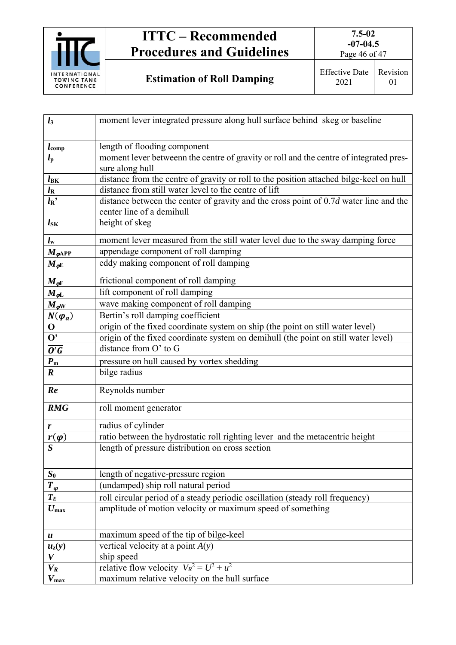

Page 46 of 47

| $l_3$                                        | moment lever integrated pressure along hull surface behind skeg or baseline             |
|----------------------------------------------|-----------------------------------------------------------------------------------------|
|                                              |                                                                                         |
| $l_{\text{comp}}$                            | length of flooding component                                                            |
| $l_{\rm p}$                                  | moment lever betweenn the centre of gravity or roll and the centre of integrated pres-  |
|                                              | sure along hull                                                                         |
| $l_{\rm BK}$                                 | distance from the centre of gravity or roll to the position attached bilge-keel on hull |
| $l_{\rm R}$                                  | distance from still water level to the centre of lift                                   |
| $l_{\rm R}$                                  | distance between the center of gravity and the cross point of $0.7d$ water line and the |
|                                              | center line of a demihull                                                               |
| $l_{SK}$                                     | height of skeg                                                                          |
| $l_{\rm w}$                                  | moment lever measured from the still water level due to the sway damping force          |
| $M_{\varphi \rm APP}$                        | appendage component of roll damping                                                     |
| $M_{\varphi E}$                              | eddy making component of roll damping                                                   |
| $M_{\varphi \text{F}}$                       | frictional component of roll damping                                                    |
| $M_{\varphi \rm L}$                          | lift component of roll damping                                                          |
| $M_{\varphi N}$                              | wave making component of roll damping                                                   |
| $N(\varphi_a)$                               | Bertin's roll damping coefficient                                                       |
| $\bf{O}$                                     | origin of the fixed coordinate system on ship (the point on still water level)          |
| $\overline{\mathbf{O}^*}$                    | origin of the fixed coordinate system on demihull (the point on still water level)      |
| $\frac{1}{\overline{\mathbf{O}'\mathbf{G}}}$ | distance from O' to G                                                                   |
| $P_{\rm m}$                                  | pressure on hull caused by vortex shedding                                              |
| $\boldsymbol{R}$                             | bilge radius                                                                            |
| Re                                           | Reynolds number                                                                         |
|                                              |                                                                                         |
| <b>RMG</b>                                   | roll moment generator                                                                   |
| r                                            | radius of cylinder                                                                      |
| $r(\varphi)$                                 | ratio between the hydrostatic roll righting lever and the metacentric height            |
| $\boldsymbol{S}$                             | length of pressure distribution on cross section                                        |
|                                              |                                                                                         |
| $S_0$                                        | length of negative-pressure region                                                      |
| $T_{\varphi}$                                | (undamped) ship roll natural period                                                     |
| $T_E$                                        | roll circular period of a steady periodic oscillation (steady roll frequency)           |
| $U_{\rm max}$                                | amplitude of motion velocity or maximum speed of something                              |
|                                              |                                                                                         |
| $\boldsymbol{u}$                             | maximum speed of the tip of bilge-keel                                                  |
| $u_z(y)$                                     | vertical velocity at a point $A(y)$                                                     |
| V                                            | ship speed                                                                              |
| $V_R$                                        | relative flow velocity $V_R^2 = U^2 + u^2$                                              |
| $V_{\text{max}}$                             | maximum relative velocity on the hull surface                                           |